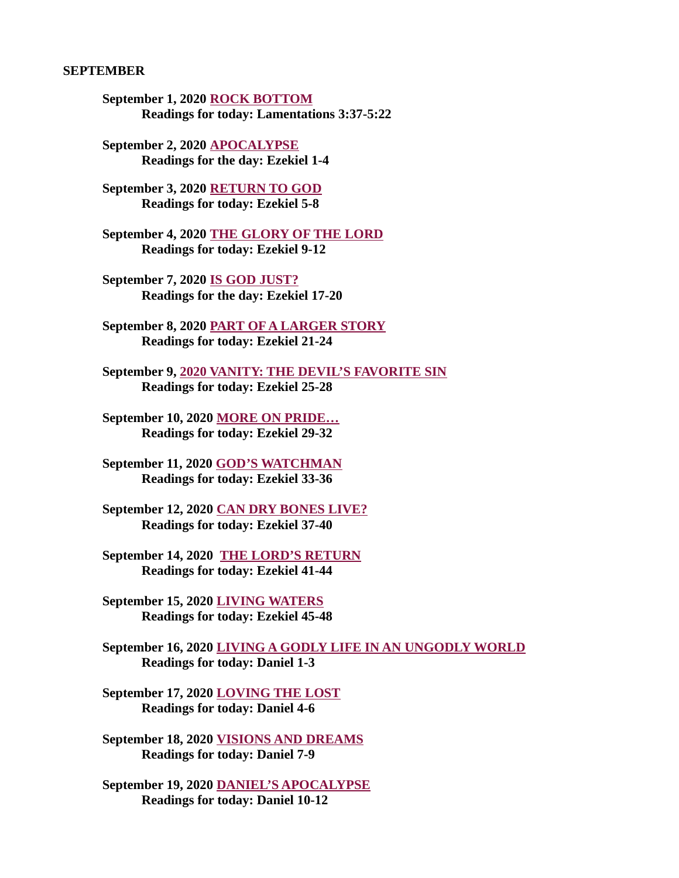#### SEPTEMBER

September 1, 2020 ROCK BOTTOM [Readings for today: Lamentations 3:37-5:22](#page-2-0)

[September 2, 2020 APOCALYPSE](#page-4-0) Readings for the day: Ezekiel 1-4

[September 3, 2020 RETURN TO GOD](#page-6-0) Readings for today: Ezekiel 5-8

[September 4, 2020 THE GLORY OF THE LORD](#page-8-0) Readings for today: Ezekiel 9-12

September 7, 2020 IS GOD JUST? [Readings for the day: Ezekiel 17-20](#page-10-0)

[September 8, 2020 PART OF A LARGER STORY](#page-12-0) Readings for today: Ezekiel 21-24

[September 9, 2020 VANITY: THE DEVIL'S FAVORITE SIN](#page-14-0) Readings for today: Ezekiel 25-28

[September 10, 2020 MORE ON PRIDE…](#page-16-0) Readings for today: Ezekiel 29-32

[September 11, 2020 GOD'S WATCHMAN](#page-18-0) Readings for today: Ezekiel 33-36

[September 12, 2020 CAN DRY BONES LIVE?](#page-20-0) Readings for today: Ezekiel 37-40

[September 14, 2020 THE LORD'S RETURN](#page-22-0) Readings for today: Ezekiel 41-44

[September 15, 2020 LIVING WATERS](#page-24-0) Readings for today: Ezekiel 45-48

[September 16, 2020 LIVING A GODLY LIFE IN AN UNGODLY WORLD](#page-25-0) Readings for today: Daniel 1-3

[September 17, 2020 LOVING THE LOST](#page-27-0) Readings for today: Daniel 4-6

[September 18, 2020 VISIONS AND DREAMS](#page-29-0) Readings for today: Daniel 7-9

[September 19, 2020 DANIEL'S APOCALYPSE](#page-30-0) Readings for today: Daniel 10-12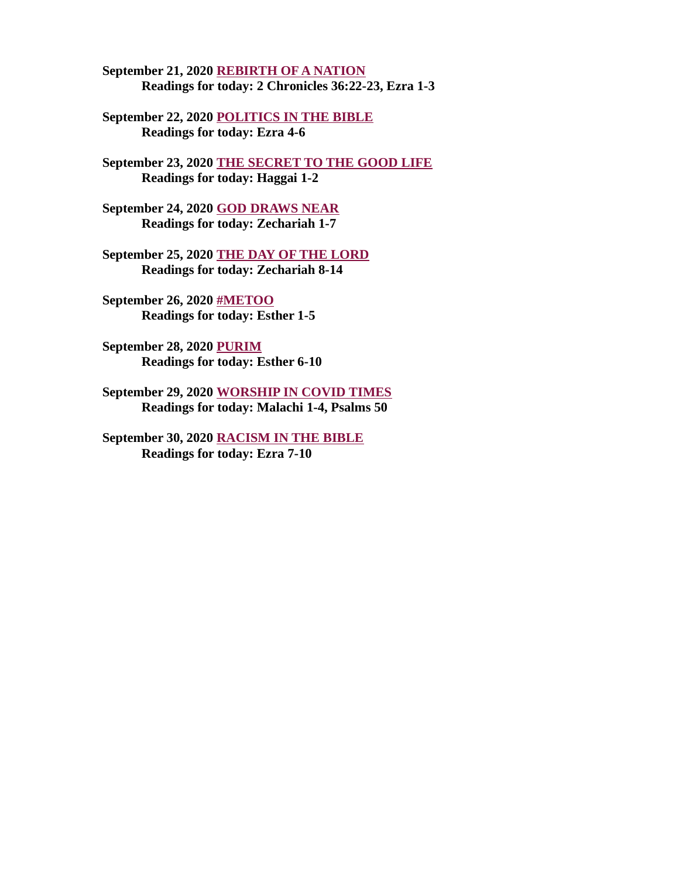September 21, 2020 REBIRTH OF A NATION [Readings for today: 2 Chronicles 36:22-23, Ezra 1-3](#page-32-0)

[September 22, 2020 POLITICS IN THE BIBLE](#page-34-0) Readings for today: Ezra 4-6

[September 23, 2020 THE SECRET TO THE GOOD LIFE](#page-35-0) Readings for today: Haggai 1-2

[September 24, 2020 GOD DRAWS NEAR](#page-36-0) Readings for today: Zechariah 1-7

[September 25, 2020 THE DAY OF THE LORD](#page-38-0) Readings for today: Zechariah 8-14

September 26, 2020 #METOO [Readings for today: Esther 1-5](#page-40-0)

September 28, 2020 PURIM [Readings for today: Esther 6-10](#page-41-0)

[September 29, 2020 WORSHIP IN COVID TIMES](#page-42-0) Readings for today: Malachi 1-4, Psalms 50

[September 30, 2020 RACISM IN THE BIBLE](#page-44-0) Readings for today: Ezra 7-10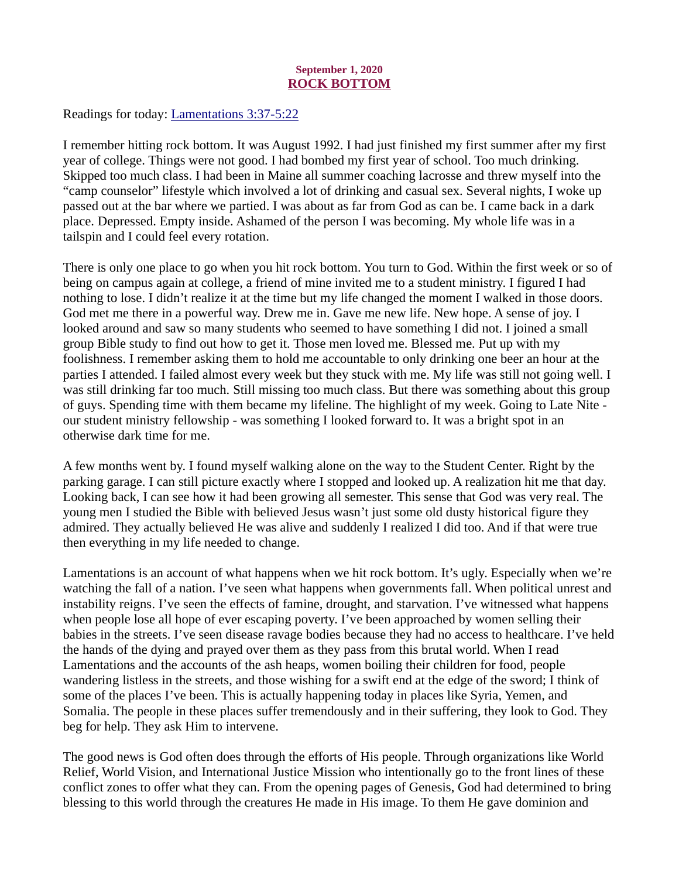# September 1, 2020 ROCK BOTTOM

<span id="page-2-0"></span>[Readings for today: Lamentations 3:37-5:22](https://www.biblegateway.com/passage/?search=Lamentations+3%3A37-5%3A22&version=ESV)

I remember hitting rock bottom. It was August 1992. I had just finished my first summer after my first year of college. Things were not good. I had bombed my first year of school. Too much drinking. Skipped too much class. I had been in Maine all summer coaching lacrosse and threw myself into the "camp counselor" lifestyle which involved a lot of drinking and casual sex. Several nights, I woke up passed out at the bar where we partied. I was about as far from God as can be. I came back in a dark place. Depressed. Empty inside. Ashamed of the person I was becoming. My whole life was in a tailspin and I could feel every rotation.

There is only one place to go when you hit rock bottom. You turn to God. Within the first week or so of being on campus again at college, a friend of mine invited me to a student ministry. I figured I had nothing to lose. I didn't realize it at the time but my life changed the moment I walked in those doors. God met me there in a powerful way. Drew me in. Gave me new life. New hope. A sense of joy. I looked around and saw so many students who seemed to have something I did not. I joined a small group Bible study to find out how to get it. Those men loved me. Blessed me. Put up with my foolishness. I remember asking them to hold me accountable to only drinking one beer an hour at the parties I attended. I failed almost every week but they stuck with me. My life was still not going well. I was still drinking far too much. Still missing too much class. But there was something about this group of guys. Spending time with them became my lifeline. The highlight of my week. Going to Late Nite our student ministry fellowship - was something I looked forward to. It was a bright spot in an otherwise dark time for me.

A few months went by. I found myself walking alone on the way to the Student Center. Right by the parking garage. I can still picture exactly where I stopped and looked up. A realization hit me that day. Looking back, I can see how it had been growing all semester. This sense that God was very real. The young men I studied the Bible with believed Jesus wasn't just some old dusty historical figure they admired. They actually believed He was alive and suddenly I realized I did too. And if that were true then everything in my life needed to change.

Lamentations is an account of what happens when we hit rock bottom. It's ugly. Especially when we're watching the fall of a nation. I've seen what happens when governments fall. When political unrest and instability reigns. I've seen the effects of famine, drought, and starvation. I've witnessed what happens when people lose all hope of ever escaping poverty. I've been approached by women selling their babies in the streets. I've seen disease ravage bodies because they had no access to healthcare. I've held the hands of the dying and prayed over them as they pass from this brutal world. When I read Lamentations and the accounts of the ash heaps, women boiling their children for food, people wandering listless in the streets, and those wishing for a swift end at the edge of the sword; I think of some of the places I've been. This is actually happening today in places like Syria, Yemen, and Somalia. The people in these places suffer tremendously and in their suffering, they look to God. They beg for help. They ask Him to intervene.

The good news is God often does through the efforts of His people. Through organizations like World Relief, World Vision, and International Justice Mission who intentionally go to the front lines of these conflict zones to offer what they can. From the opening pages of Genesis, God had determined to bring blessing to this world through the creatures He made in His image. To them He gave dominion and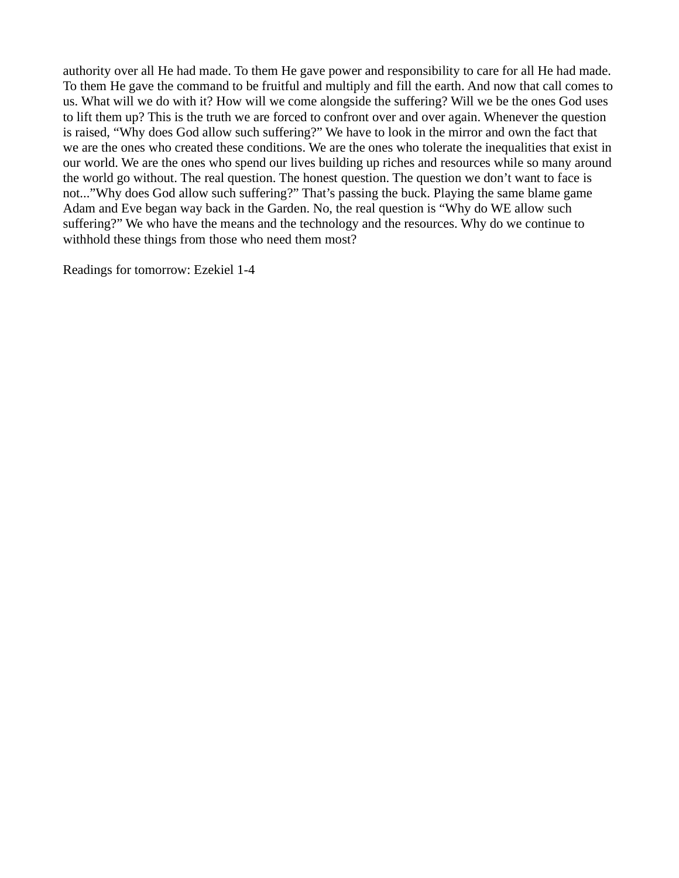authority over all He had made. To them He gave power and responsibility to care for all He had made. To them He gave the command to be fruitful and multiply and fill the earth. And now that call comes to us. What will we do with it? How will we come alongside the suffering? Will we be the ones God uses to lift them up? This is the truth we are forced to confront over and over again. Whenever the question is raised, "Why does God allow such suffering?" We have to look in the mirror and own the fact that we are the ones who created these conditions. We are the ones who tolerate the inequalities that exist in our world. We are the ones who spend our lives building up riches and resources while so many around the world go without. The real question. The honest question. The question we don't want to face is not..."Why does God allow such suffering?" That's passing the buck. Playing the same blame game Adam and Eve began way back in the Garden. No, the real question is "Why do WE allow such suffering?" We who have the means and the technology and the resources. Why do we continue to withhold these things from those who need them most?

Readings for tomorrow: Ezekiel 1-4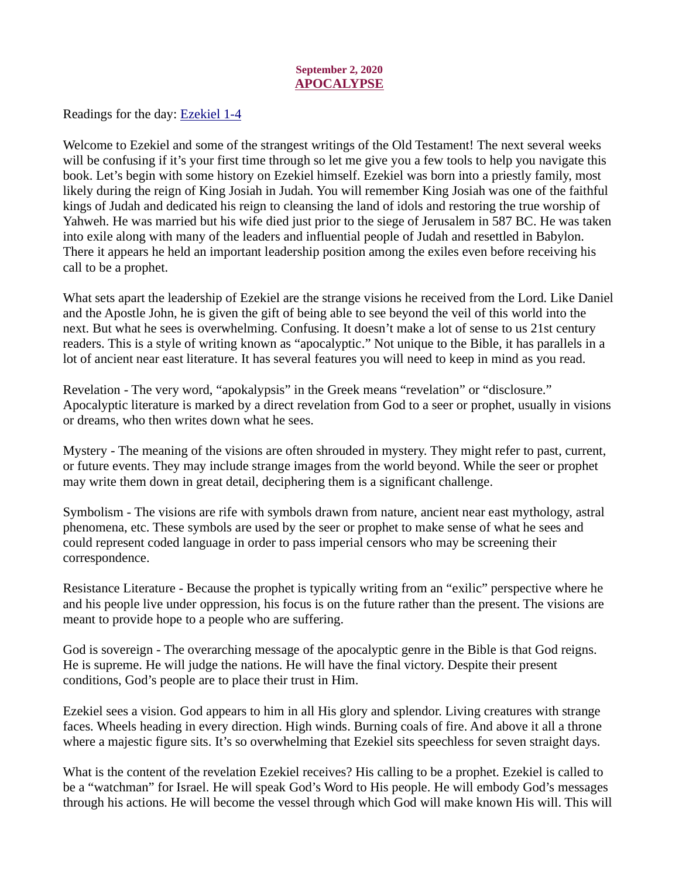# September 2, 2020 APOCALYPSE

<span id="page-4-0"></span>[Readings for the day: Ezekiel 1-4](https://www.biblegateway.com/passage/?search=Ezekiel+1-4&version=ESV)

Welcome to Ezekiel and some of the strangest writings of the Old Testament! The next several weeks will be confusing if it's your first time through so let me give you a few tools to help you navigate this book. Let's begin with some history on Ezekiel himself. Ezekiel was born into a priestly family, most likely during the reign of King Josiah in Judah. You will remember King Josiah was one of the faithful kings of Judah and dedicated his reign to cleansing the land of idols and restoring the true worship of Yahweh. He was married but his wife died just prior to the siege of Jerusalem in 587 BC. He was taken into exile along with many of the leaders and influential people of Judah and resettled in Babylon. There it appears he held an important leadership position among the exiles even before receiving his call to be a prophet.

What sets apart the leadership of Ezekiel are the strange visions he received from the Lord. Like Daniel and the Apostle John, he is given the gift of being able to see beyond the veil of this world into the next. But what he sees is overwhelming. Confusing. It doesn't make a lot of sense to us 21st century readers. This is a style of writing known as "apocalyptic." Not unique to the Bible, it has parallels in a lot of ancient near east literature. It has several features you will need to keep in mind as you read.

Revelation - The very word, "apokalypsis" in the Greek means "revelation" or "disclosure." Apocalyptic literature is marked by a direct revelation from God to a seer or prophet, usually in visions or dreams, who then writes down what he sees.

Mystery - The meaning of the visions are often shrouded in mystery. They might refer to past, current, or future events. They may include strange images from the world beyond. While the seer or prophet may write them down in great detail, deciphering them is a significant challenge.

Symbolism - The visions are rife with symbols drawn from nature, ancient near east mythology, astral phenomena, etc. These symbols are used by the seer or prophet to make sense of what he sees and could represent coded language in order to pass imperial censors who may be screening their correspondence.

Resistance Literature - Because the prophet is typically writing from an "exilic" perspective where he and his people live under oppression, his focus is on the future rather than the present. The visions are meant to provide hope to a people who are suffering.

God is sovereign - The overarching message of the apocalyptic genre in the Bible is that God reigns. He is supreme. He will judge the nations. He will have the final victory. Despite their present conditions, God's people are to place their trust in Him.

Ezekiel sees a vision. God appears to him in all His glory and splendor. Living creatures with strange faces. Wheels heading in every direction. High winds. Burning coals of fire. And above it all a throne where a majestic figure sits. It's so overwhelming that Ezekiel sits speechless for seven straight days.

What is the content of the revelation Ezekiel receives? His calling to be a prophet. Ezekiel is called to be a "watchman" for Israel. He will speak God's Word to His people. He will embody God's messages through his actions. He will become the vessel through which God will make known His will. This will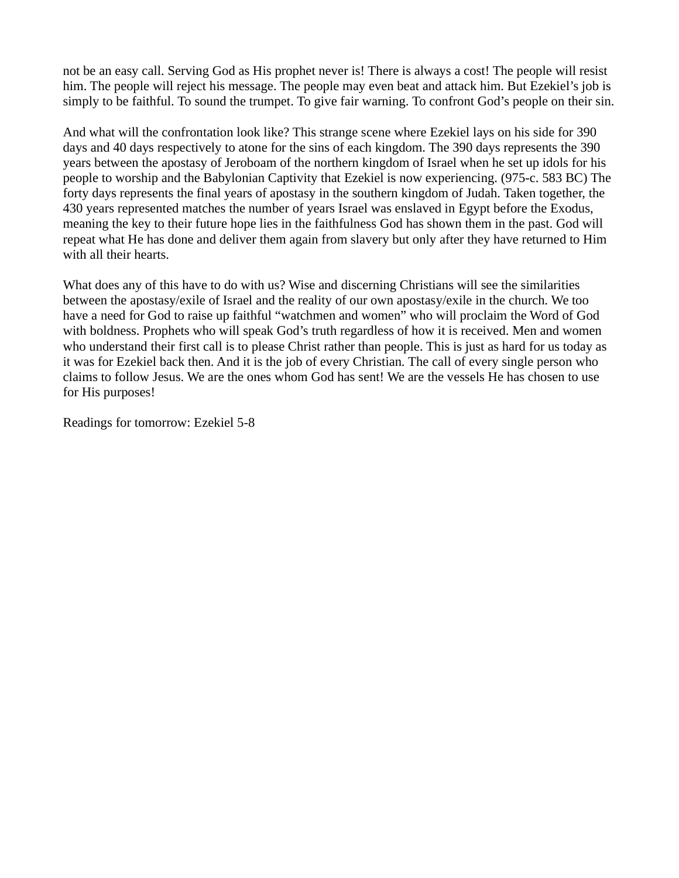not be an easy call. Serving God as His prophet never is! There is always a cost! The people will resist him. The people will reject his message. The people may even beat and attack him. But Ezekiel's job is simply to be faithful. To sound the trumpet. To give fair warning. To confront God's people on their sin.

And what will the confrontation look like? This strange scene where Ezekiel lays on his side for 390 days and 40 days respectively to atone for the sins of each kingdom. The 390 days represents the 390 years between the apostasy of Jeroboam of the northern kingdom of Israel when he set up idols for his people to worship and the Babylonian Captivity that Ezekiel is now experiencing. (975-c. 583 BC) The forty days represents the final years of apostasy in the southern kingdom of Judah. Taken together, the 430 years represented matches the number of years Israel was enslaved in Egypt before the Exodus, meaning the key to their future hope lies in the faithfulness God has shown them in the past. God will repeat what He has done and deliver them again from slavery but only after they have returned to Him with all their hearts.

What does any of this have to do with us? Wise and discerning Christians will see the similarities between the apostasy/exile of Israel and the reality of our own apostasy/exile in the church. We too have a need for God to raise up faithful "watchmen and women" who will proclaim the Word of God with boldness. Prophets who will speak God's truth regardless of how it is received. Men and women who understand their first call is to please Christ rather than people. This is just as hard for us today as it was for Ezekiel back then. And it is the job of every Christian. The call of every single person who claims to follow Jesus. We are the ones whom God has sent! We are the vessels He has chosen to use for His purposes!

Readings for tomorrow: Ezekiel 5-8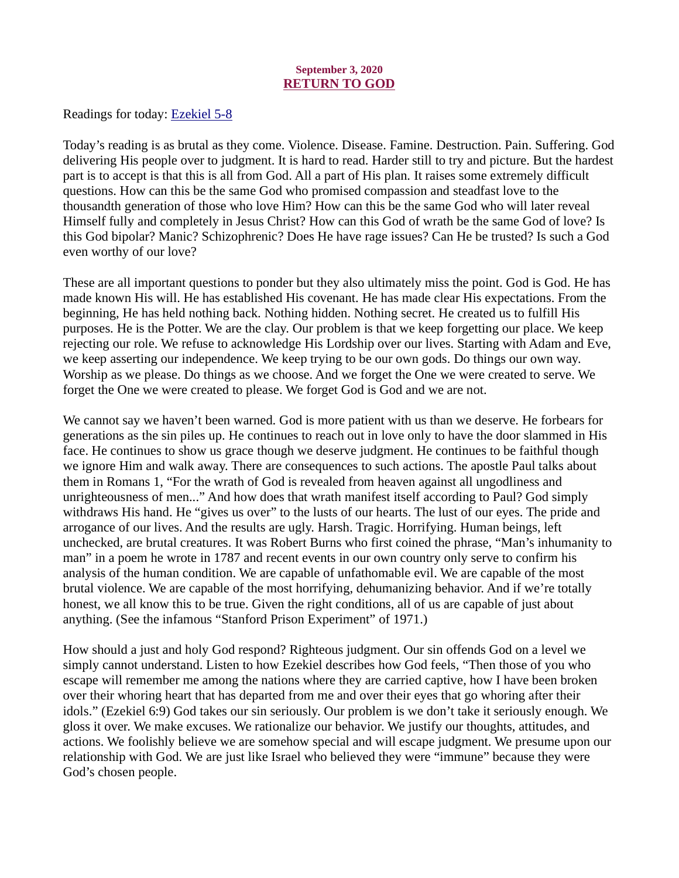#### September 3, 2020 RETURN TO GOD

<span id="page-6-0"></span>[Readings for today: Ezekiel 5-8](https://www.biblegateway.com/passage/?search=Ezekiel+5-8&version=ESV)

Today's reading is as brutal as they come. Violence. Disease. Famine. Destruction. Pain. Suffering. God delivering His people over to judgment. It is hard to read. Harder still to try and picture. But the hardest part is to accept is that this is all from God. All a part of His plan. It raises some extremely difficult questions. How can this be the same God who promised compassion and steadfast love to the thousandth generation of those who love Him? How can this be the same God who will later reveal Himself fully and completely in Jesus Christ? How can this God of wrath be the same God of love? Is this God bipolar? Manic? Schizophrenic? Does He have rage issues? Can He be trusted? Is such a God even worthy of our love?

These are all important questions to ponder but they also ultimately miss the point. God is God. He has made known His will. He has established His covenant. He has made clear His expectations. From the beginning, He has held nothing back. Nothing hidden. Nothing secret. He created us to fulfill His purposes. He is the Potter. We are the clay. Our problem is that we keep forgetting our place. We keep rejecting our role. We refuse to acknowledge His Lordship over our lives. Starting with Adam and Eve, we keep asserting our independence. We keep trying to be our own gods. Do things our own way. Worship as we please. Do things as we choose. And we forget the One we were created to serve. We forget the One we were created to please. We forget God is God and we are not.

We cannot say we haven't been warned. God is more patient with us than we deserve. He forbears for generations as the sin piles up. He continues to reach out in love only to have the door slammed in His face. He continues to show us grace though we deserve judgment. He continues to be faithful though we ignore Him and walk away. There are consequences to such actions. The apostle Paul talks about them in Romans 1, "For the wrath of God is revealed from heaven against all ungodliness and unrighteousness of men..." And how does that wrath manifest itself according to Paul? God simply withdraws His hand. He "gives us over" to the lusts of our hearts. The lust of our eyes. The pride and arrogance of our lives. And the results are ugly. Harsh. Tragic. Horrifying. Human beings, left unchecked, are brutal creatures. It was Robert Burns who first coined the phrase, "Man's inhumanity to man" in a poem he wrote in 1787 and recent events in our own country only serve to confirm his analysis of the human condition. We are capable of unfathomable evil. We are capable of the most brutal violence. We are capable of the most horrifying, dehumanizing behavior. And if we're totally honest, we all know this to be true. Given the right conditions, all of us are capable of just about anything. (See the infamous "Stanford Prison Experiment" of 1971.)

How should a just and holy God respond? Righteous judgment. Our sin offends God on a level we simply cannot understand. Listen to how Ezekiel describes how God feels, "Then those of you who escape will remember me among the nations where they are carried captive, how I have been broken over their whoring heart that has departed from me and over their eyes that go whoring after their idols." (Ezekiel 6:9) God takes our sin seriously. Our problem is we don't take it seriously enough. We gloss it over. We make excuses. We rationalize our behavior. We justify our thoughts, attitudes, and actions. We foolishly believe we are somehow special and will escape judgment. We presume upon our relationship with God. We are just like Israel who believed they were "immune" because they were God's chosen people.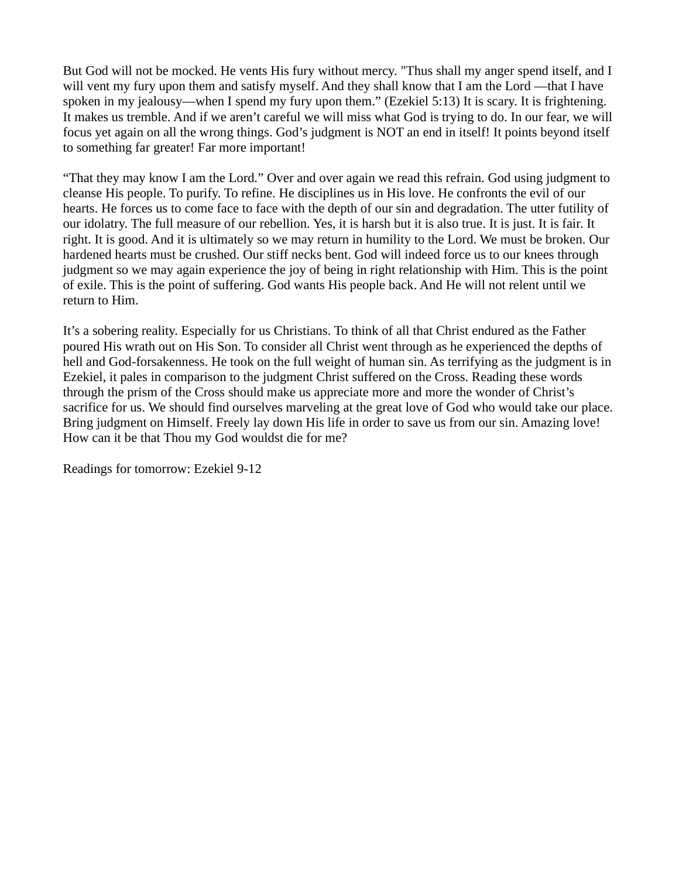But God will not be mocked. He vents His fury without mercy. "Thus shall my anger spend itself, and I will vent my fury upon them and satisfy myself. And they shall know that I am the Lord —that I have spoken in my jealousy—when I spend my fury upon them." (Ezekiel 5:13) It is scary. It is frightening. It makes us tremble. And if we aren't careful we will miss what God is trying to do. In our fear, we will focus yet again on all the wrong things. God's judgment is NOT an end in itself! It points beyond itself to something far greater! Far more important!

"That they may know I am the Lord." Over and over again we read this refrain. God using judgment to cleanse His people. To purify. To refine. He disciplines us in His love. He confronts the evil of our hearts. He forces us to come face to face with the depth of our sin and degradation. The utter futility of our idolatry. The full measure of our rebellion. Yes, it is harsh but it is also true. It is just. It is fair. It right. It is good. And it is ultimately so we may return in humility to the Lord. We must be broken. Our hardened hearts must be crushed. Our stiff necks bent. God will indeed force us to our knees through judgment so we may again experience the joy of being in right relationship with Him. This is the point of exile. This is the point of suffering. God wants His people back. And He will not relent until we return to Him.

It's a sobering reality. Especially for us Christians. To think of all that Christ endured as the Father poured His wrath out on His Son. To consider all Christ went through as he experienced the depths of hell and God-forsakenness. He took on the full weight of human sin. As terrifying as the judgment is in Ezekiel, it pales in comparison to the judgment Christ suffered on the Cross. Reading these words through the prism of the Cross should make us appreciate more and more the wonder of Christ's sacrifice for us. We should find ourselves marveling at the great love of God who would take our place. Bring judgment on Himself. Freely lay down His life in order to save us from our sin. Amazing love! How can it be that Thou my God wouldst die for me?

Readings for tomorrow: Ezekiel 9-12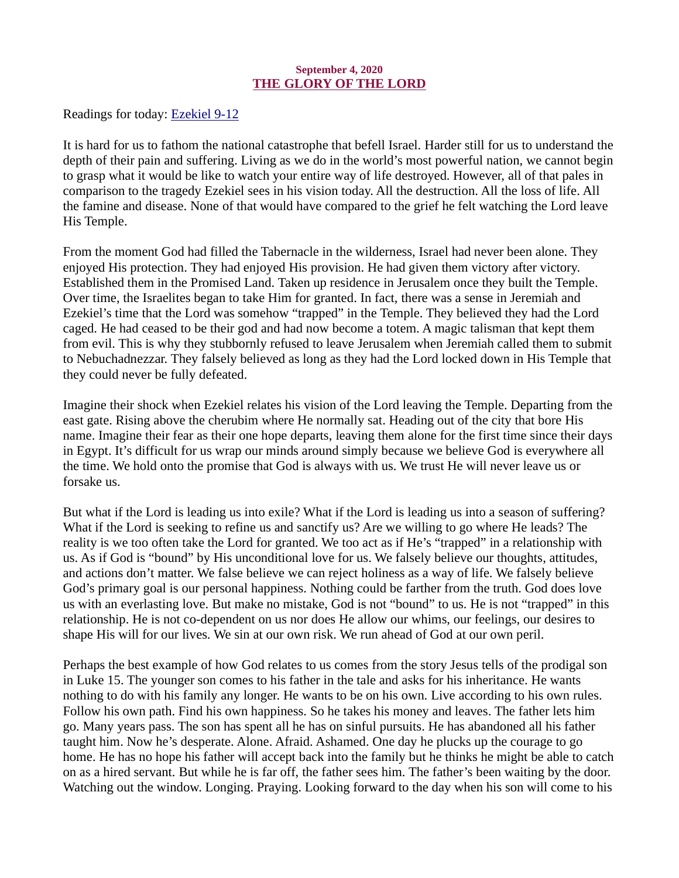## September 4, 2020 THE GLORY OF THE LORD

<span id="page-8-0"></span>Readings for today: **Ezekiel 9-12** 

It is hard for us to fathom the national catastrophe that befell Israel. Harder still for us to understand the depth of their pain and suffering. Living as we do in the world's most powerful nation, we cannot begin to grasp what it would be like to watch your entire way of life destroyed. However, all of that pales in comparison to the tragedy Ezekiel sees in his vision today. All the destruction. All the loss of life. All the famine and disease. None of that would have compared to the grief he felt watching the Lord leave His Temple.

From the moment God had filled the Tabernacle in the wilderness, Israel had never been alone. They enjoyed His protection. They had enjoyed His provision. He had given them victory after victory. Established them in the Promised Land. Taken up residence in Jerusalem once they built the Temple. Over time, the Israelites began to take Him for granted. In fact, there was a sense in Jeremiah and Ezekiel's time that the Lord was somehow "trapped" in the Temple. They believed they had the Lord caged. He had ceased to be their god and had now become a totem. A magic talisman that kept them from evil. This is why they stubbornly refused to leave Jerusalem when Jeremiah called them to submit to Nebuchadnezzar. They falsely believed as long as they had the Lord locked down in His Temple that they could never be fully defeated.

Imagine their shock when Ezekiel relates his vision of the Lord leaving the Temple. Departing from the east gate. Rising above the cherubim where He normally sat. Heading out of the city that bore His name. Imagine their fear as their one hope departs, leaving them alone for the first time since their days in Egypt. It's difficult for us wrap our minds around simply because we believe God is everywhere all the time. We hold onto the promise that God is always with us. We trust He will never leave us or forsake us.

But what if the Lord is leading us into exile? What if the Lord is leading us into a season of suffering? What if the Lord is seeking to refine us and sanctify us? Are we willing to go where He leads? The reality is we too often take the Lord for granted. We too act as if He's "trapped" in a relationship with us. As if God is "bound" by His unconditional love for us. We falsely believe our thoughts, attitudes, and actions don't matter. We false believe we can reject holiness as a way of life. We falsely believe God's primary goal is our personal happiness. Nothing could be farther from the truth. God does love us with an everlasting love. But make no mistake, God is not "bound" to us. He is not "trapped" in this relationship. He is not co-dependent on us nor does He allow our whims, our feelings, our desires to shape His will for our lives. We sin at our own risk. We run ahead of God at our own peril.

Perhaps the best example of how God relates to us comes from the story Jesus tells of the prodigal son in Luke 15. The younger son comes to his father in the tale and asks for his inheritance. He wants nothing to do with his family any longer. He wants to be on his own. Live according to his own rules. Follow his own path. Find his own happiness. So he takes his money and leaves. The father lets him go. Many years pass. The son has spent all he has on sinful pursuits. He has abandoned all his father taught him. Now he's desperate. Alone. Afraid. Ashamed. One day he plucks up the courage to go home. He has no hope his father will accept back into the family but he thinks he might be able to catch on as a hired servant. But while he is far off, the father sees him. The father's been waiting by the door. Watching out the window. Longing. Praying. Looking forward to the day when his son will come to his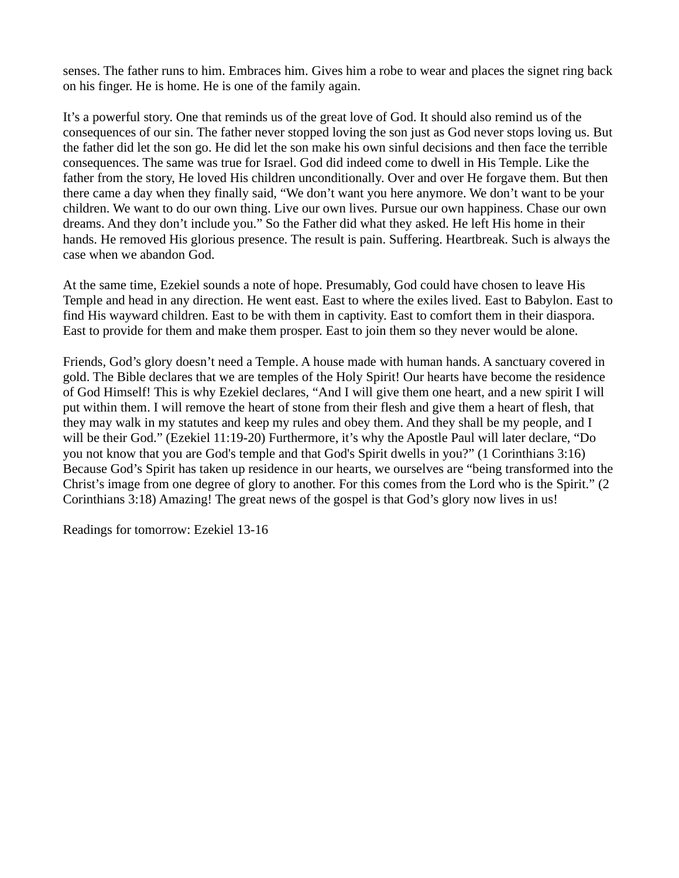senses. The father runs to him. Embraces him. Gives him a robe to wear and places the signet ring back on his finger. He is home. He is one of the family again.

It's a powerful story. One that reminds us of the great love of God. It should also remind us of the consequences of our sin. The father never stopped loving the son just as God never stops loving us. But the father did let the son go. He did let the son make his own sinful decisions and then face the terrible consequences. The same was true for Israel. God did indeed come to dwell in His Temple. Like the father from the story, He loved His children unconditionally. Over and over He forgave them. But then there came a day when they finally said, "We don't want you here anymore. We don't want to be your children. We want to do our own thing. Live our own lives. Pursue our own happiness. Chase our own dreams. And they don't include you." So the Father did what they asked. He left His home in their hands. He removed His glorious presence. The result is pain. Suffering. Heartbreak. Such is always the case when we abandon God.

At the same time, Ezekiel sounds a note of hope. Presumably, God could have chosen to leave His Temple and head in any direction. He went east. East to where the exiles lived. East to Babylon. East to find His wayward children. East to be with them in captivity. East to comfort them in their diaspora. East to provide for them and make them prosper. East to join them so they never would be alone.

Friends, God's glory doesn't need a Temple. A house made with human hands. A sanctuary covered in gold. The Bible declares that we are temples of the Holy Spirit! Our hearts have become the residence of God Himself! This is why Ezekiel declares, "And I will give them one heart, and a new spirit I will put within them. I will remove the heart of stone from their flesh and give them a heart of flesh, that they may walk in my statutes and keep my rules and obey them. And they shall be my people, and I will be their God." (Ezekiel 11:19-20) Furthermore, it's why the Apostle Paul will later declare, "Do you not know that you are God's temple and that God's Spirit dwells in you?" (1 Corinthians 3:16) Because God's Spirit has taken up residence in our hearts, we ourselves are "being transformed into the Christ's image from one degree of glory to another. For this comes from the Lord who is the Spirit." (2 Corinthians 3:18) Amazing! The great news of the gospel is that God's glory now lives in us!

Readings for tomorrow: Ezekiel 13-16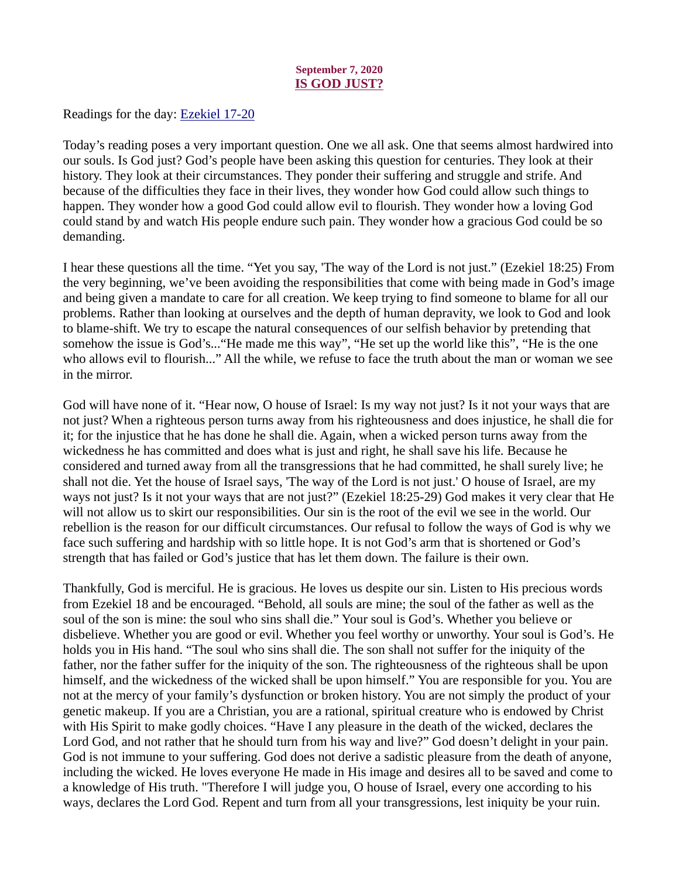# September 7, 2020 IS GOD JUST?

<span id="page-10-0"></span>[Readings for the day: Ezekiel 17-20](https://www.biblegateway.com/passage/?search=Ezekiel+17-20&version=ESV)

Today's reading poses a very important question. One we all ask. One that seems almost hardwired into our souls. Is God just? God's people have been asking this question for centuries. They look at their history. They look at their circumstances. They ponder their suffering and struggle and strife. And because of the difficulties they face in their lives, they wonder how God could allow such things to happen. They wonder how a good God could allow evil to flourish. They wonder how a loving God could stand by and watch His people endure such pain. They wonder how a gracious God could be so demanding.

I hear these questions all the time. "Yet you say, 'The way of the Lord is not just." (Ezekiel 18:25) From the very beginning, we've been avoiding the responsibilities that come with being made in God's image and being given a mandate to care for all creation. We keep trying to find someone to blame for all our problems. Rather than looking at ourselves and the depth of human depravity, we look to God and look to blame-shift. We try to escape the natural consequences of our selfish behavior by pretending that somehow the issue is God's..."He made me this way", "He set up the world like this", "He is the one who allows evil to flourish..." All the while, we refuse to face the truth about the man or woman we see in the mirror.

God will have none of it. "Hear now, O house of Israel: Is my way not just? Is it not your ways that are not just? When a righteous person turns away from his righteousness and does injustice, he shall die for it; for the injustice that he has done he shall die. Again, when a wicked person turns away from the wickedness he has committed and does what is just and right, he shall save his life. Because he considered and turned away from all the transgressions that he had committed, he shall surely live; he shall not die. Yet the house of Israel says, 'The way of the Lord is not just.' O house of Israel, are my ways not just? Is it not your ways that are not just?" (Ezekiel 18:25-29) God makes it very clear that He will not allow us to skirt our responsibilities. Our sin is the root of the evil we see in the world. Our rebellion is the reason for our difficult circumstances. Our refusal to follow the ways of God is why we face such suffering and hardship with so little hope. It is not God's arm that is shortened or God's strength that has failed or God's justice that has let them down. The failure is their own.

Thankfully, God is merciful. He is gracious. He loves us despite our sin. Listen to His precious words from Ezekiel 18 and be encouraged. "Behold, all souls are mine; the soul of the father as well as the soul of the son is mine: the soul who sins shall die." Your soul is God's. Whether you believe or disbelieve. Whether you are good or evil. Whether you feel worthy or unworthy. Your soul is God's. He holds you in His hand. "The soul who sins shall die. The son shall not suffer for the iniquity of the father, nor the father suffer for the iniquity of the son. The righteousness of the righteous shall be upon himself, and the wickedness of the wicked shall be upon himself." You are responsible for you. You are not at the mercy of your family's dysfunction or broken history. You are not simply the product of your genetic makeup. If you are a Christian, you are a rational, spiritual creature who is endowed by Christ with His Spirit to make godly choices. "Have I any pleasure in the death of the wicked, declares the Lord God, and not rather that he should turn from his way and live?" God doesn't delight in your pain. God is not immune to your suffering. God does not derive a sadistic pleasure from the death of anyone, including the wicked. He loves everyone He made in His image and desires all to be saved and come to a knowledge of His truth. "Therefore I will judge you, O house of Israel, every one according to his ways, declares the Lord God. Repent and turn from all your transgressions, lest iniquity be your ruin.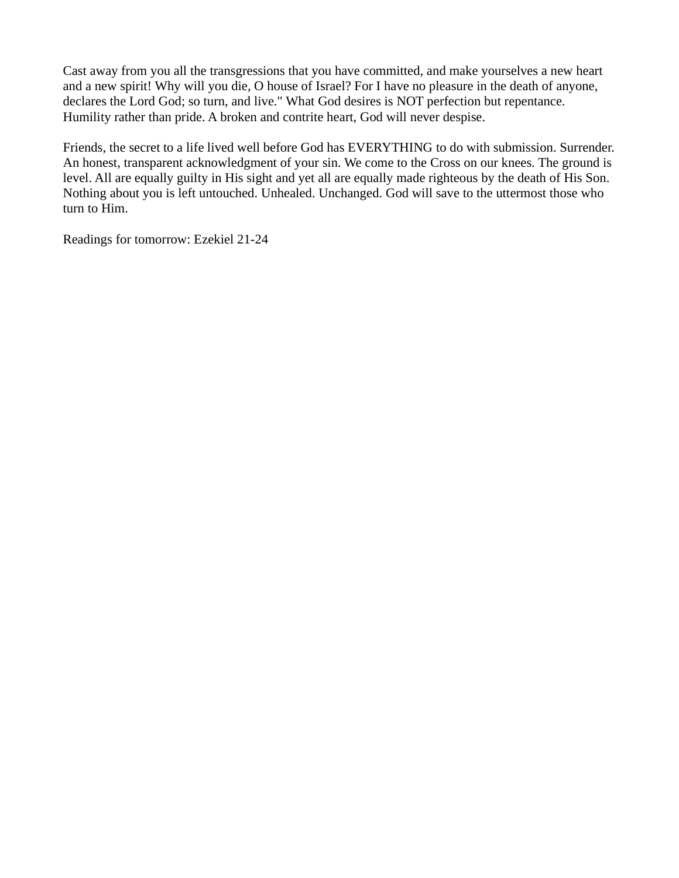Cast away from you all the transgressions that you have committed, and make yourselves a new heart and a new spirit! Why will you die, O house of Israel? For I have no pleasure in the death of anyone, declares the Lord God; so turn, and live." What God desires is NOT perfection but repentance. Humility rather than pride. A broken and contrite heart, God will never despise.

Friends, the secret to a life lived well before God has EVERYTHING to do with submission. Surrender. An honest, transparent acknowledgment of your sin. We come to the Cross on our knees. The ground is level. All are equally guilty in His sight and yet all are equally made righteous by the death of His Son. Nothing about you is left untouched. Unhealed. Unchanged. God will save to the uttermost those who turn to Him.

Readings for tomorrow: Ezekiel 21-24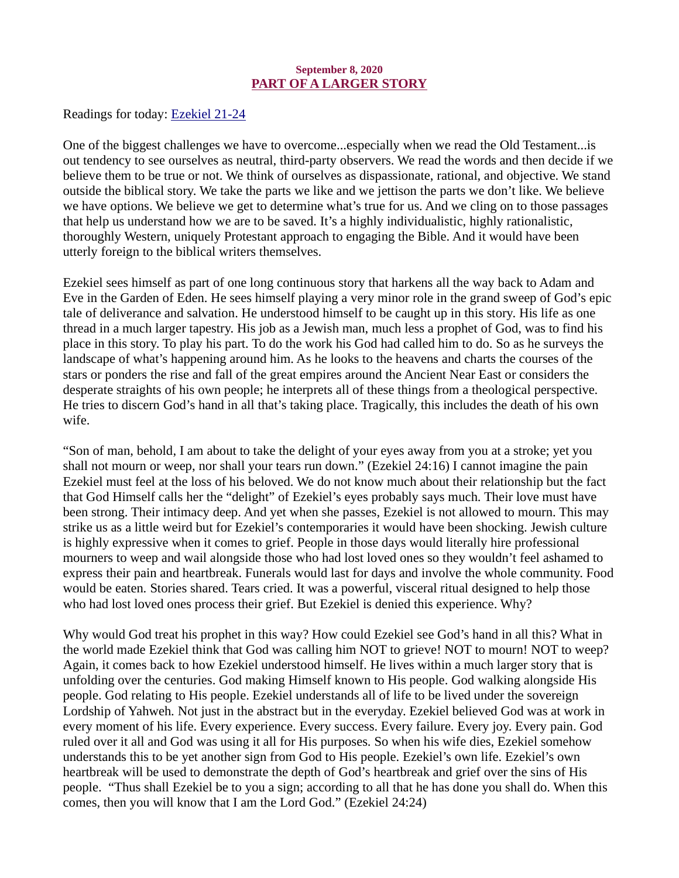## September 8, 2020 PART OF A LARGER STORY

<span id="page-12-0"></span>[Readings for today: Ezekiel 21-24](https://www.biblegateway.com/passage/?search=Ezekiel+21-24&version=ESV)

One of the biggest challenges we have to overcome...especially when we read the Old Testament...is out tendency to see ourselves as neutral, third-party observers. We read the words and then decide if we believe them to be true or not. We think of ourselves as dispassionate, rational, and objective. We stand outside the biblical story. We take the parts we like and we jettison the parts we don't like. We believe we have options. We believe we get to determine what's true for us. And we cling on to those passages that help us understand how we are to be saved. It's a highly individualistic, highly rationalistic, thoroughly Western, uniquely Protestant approach to engaging the Bible. And it would have been utterly foreign to the biblical writers themselves.

Ezekiel sees himself as part of one long continuous story that harkens all the way back to Adam and Eve in the Garden of Eden. He sees himself playing a very minor role in the grand sweep of God's epic tale of deliverance and salvation. He understood himself to be caught up in this story. His life as one thread in a much larger tapestry. His job as a Jewish man, much less a prophet of God, was to find his place in this story. To play his part. To do the work his God had called him to do. So as he surveys the landscape of what's happening around him. As he looks to the heavens and charts the courses of the stars or ponders the rise and fall of the great empires around the Ancient Near East or considers the desperate straights of his own people; he interprets all of these things from a theological perspective. He tries to discern God's hand in all that's taking place. Tragically, this includes the death of his own wife.

"Son of man, behold, I am about to take the delight of your eyes away from you at a stroke; yet you shall not mourn or weep, nor shall your tears run down." (Ezekiel 24:16) I cannot imagine the pain Ezekiel must feel at the loss of his beloved. We do not know much about their relationship but the fact that God Himself calls her the "delight" of Ezekiel's eyes probably says much. Their love must have been strong. Their intimacy deep. And yet when she passes, Ezekiel is not allowed to mourn. This may strike us as a little weird but for Ezekiel's contemporaries it would have been shocking. Jewish culture is highly expressive when it comes to grief. People in those days would literally hire professional mourners to weep and wail alongside those who had lost loved ones so they wouldn't feel ashamed to express their pain and heartbreak. Funerals would last for days and involve the whole community. Food would be eaten. Stories shared. Tears cried. It was a powerful, visceral ritual designed to help those who had lost loved ones process their grief. But Ezekiel is denied this experience. Why?

Why would God treat his prophet in this way? How could Ezekiel see God's hand in all this? What in the world made Ezekiel think that God was calling him NOT to grieve! NOT to mourn! NOT to weep? Again, it comes back to how Ezekiel understood himself. He lives within a much larger story that is unfolding over the centuries. God making Himself known to His people. God walking alongside His people. God relating to His people. Ezekiel understands all of life to be lived under the sovereign Lordship of Yahweh. Not just in the abstract but in the everyday. Ezekiel believed God was at work in every moment of his life. Every experience. Every success. Every failure. Every joy. Every pain. God ruled over it all and God was using it all for His purposes. So when his wife dies, Ezekiel somehow understands this to be yet another sign from God to His people. Ezekiel's own life. Ezekiel's own heartbreak will be used to demonstrate the depth of God's heartbreak and grief over the sins of His people. "Thus shall Ezekiel be to you a sign; according to all that he has done you shall do. When this comes, then you will know that I am the Lord God." (Ezekiel 24:24)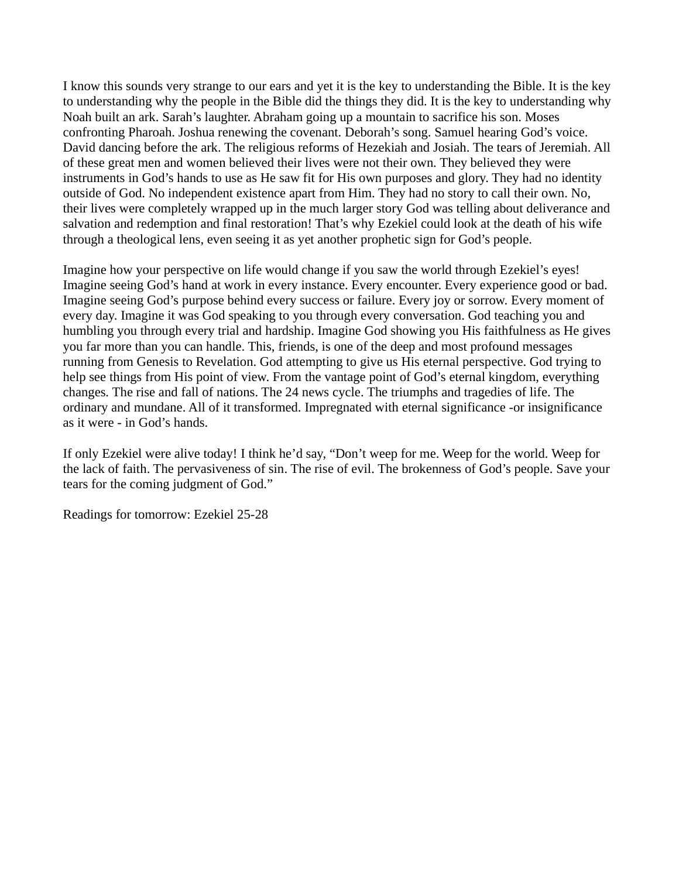I know this sounds very strange to our ears and yet it is the key to understanding the Bible. It is the key to understanding why the people in the Bible did the things they did. It is the key to understanding why Noah built an ark. Sarah's laughter. Abraham going up a mountain to sacrifice his son. Moses confronting Pharoah. Joshua renewing the covenant. Deborah's song. Samuel hearing God's voice. David dancing before the ark. The religious reforms of Hezekiah and Josiah. The tears of Jeremiah. All of these great men and women believed their lives were not their own. They believed they were instruments in God's hands to use as He saw fit for His own purposes and glory. They had no identity outside of God. No independent existence apart from Him. They had no story to call their own. No, their lives were completely wrapped up in the much larger story God was telling about deliverance and salvation and redemption and final restoration! That's why Ezekiel could look at the death of his wife through a theological lens, even seeing it as yet another prophetic sign for God's people.

Imagine how your perspective on life would change if you saw the world through Ezekiel's eyes! Imagine seeing God's hand at work in every instance. Every encounter. Every experience good or bad. Imagine seeing God's purpose behind every success or failure. Every joy or sorrow. Every moment of every day. Imagine it was God speaking to you through every conversation. God teaching you and humbling you through every trial and hardship. Imagine God showing you His faithfulness as He gives you far more than you can handle. This, friends, is one of the deep and most profound messages running from Genesis to Revelation. God attempting to give us His eternal perspective. God trying to help see things from His point of view. From the vantage point of God's eternal kingdom, everything changes. The rise and fall of nations. The 24 news cycle. The triumphs and tragedies of life. The ordinary and mundane. All of it transformed. Impregnated with eternal significance -or insignificance as it were - in God's hands.

If only Ezekiel were alive today! I think he'd say, "Don't weep for me. Weep for the world. Weep for the lack of faith. The pervasiveness of sin. The rise of evil. The brokenness of God's people. Save your tears for the coming judgment of God."

Readings for tomorrow: Ezekiel 25-28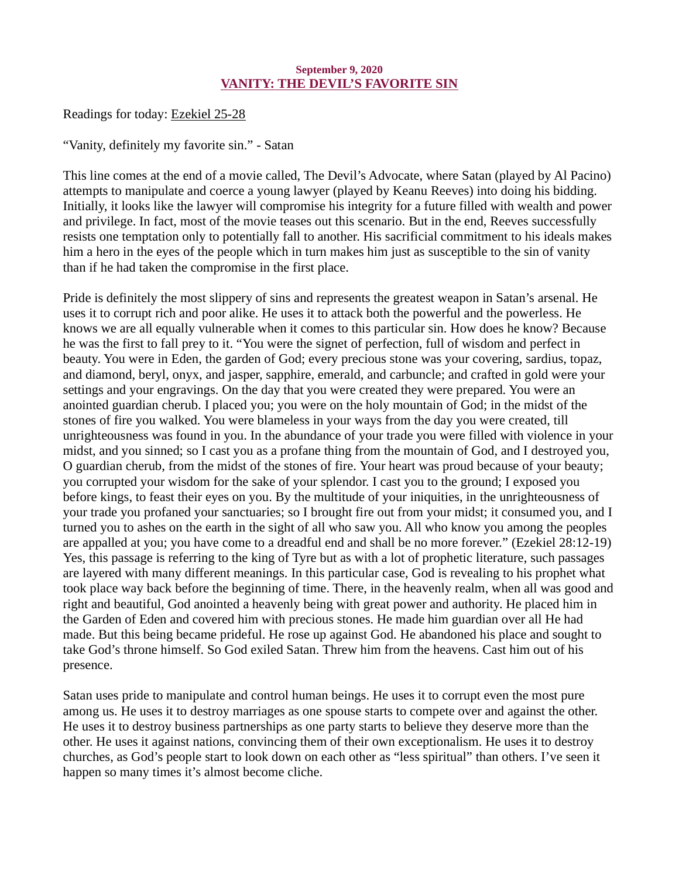## September 9, 2020 VANITY: THE DEVIL'S FAVORITE SIN

<span id="page-14-0"></span>[Readings for today: Ezekiel 25-28](https://www.biblegateway.com/passage/?search=Ezekiel+25-28&version=ESV)

"Vanity, definitely my favorite sin." - Satan

This line comes at the end of a movie called, The Devil's Advocate, where Satan (played by Al Pacino) attempts to manipulate and coerce a young lawyer (played by Keanu Reeves) into doing his bidding. Initially, it looks like the lawyer will compromise his integrity for a future filled with wealth and power and privilege. In fact, most of the movie teases out this scenario. But in the end, Reeves successfully resists one temptation only to potentially fall to another. His sacrificial commitment to his ideals makes him a hero in the eyes of the people which in turn makes him just as susceptible to the sin of vanity than if he had taken the compromise in the first place.

Pride is definitely the most slippery of sins and represents the greatest weapon in Satan's arsenal. He uses it to corrupt rich and poor alike. He uses it to attack both the powerful and the powerless. He knows we are all equally vulnerable when it comes to this particular sin. How does he know? Because he was the first to fall prey to it. "You were the signet of perfection, full of wisdom and perfect in beauty. You were in Eden, the garden of God; every precious stone was your covering, sardius, topaz, and diamond, beryl, onyx, and jasper, sapphire, emerald, and carbuncle; and crafted in gold were your settings and your engravings. On the day that you were created they were prepared. You were an anointed guardian cherub. I placed you; you were on the holy mountain of God; in the midst of the stones of fire you walked. You were blameless in your ways from the day you were created, till unrighteousness was found in you. In the abundance of your trade you were filled with violence in your midst, and you sinned; so I cast you as a profane thing from the mountain of God, and I destroyed you, O guardian cherub, from the midst of the stones of fire. Your heart was proud because of your beauty; you corrupted your wisdom for the sake of your splendor. I cast you to the ground; I exposed you before kings, to feast their eyes on you. By the multitude of your iniquities, in the unrighteousness of your trade you profaned your sanctuaries; so I brought fire out from your midst; it consumed you, and I turned you to ashes on the earth in the sight of all who saw you. All who know you among the peoples are appalled at you; you have come to a dreadful end and shall be no more forever." (Ezekiel 28:12-19) Yes, this passage is referring to the king of Tyre but as with a lot of prophetic literature, such passages are layered with many different meanings. In this particular case, God is revealing to his prophet what took place way back before the beginning of time. There, in the heavenly realm, when all was good and right and beautiful, God anointed a heavenly being with great power and authority. He placed him in the Garden of Eden and covered him with precious stones. He made him guardian over all He had made. But this being became prideful. He rose up against God. He abandoned his place and sought to take God's throne himself. So God exiled Satan. Threw him from the heavens. Cast him out of his presence.

Satan uses pride to manipulate and control human beings. He uses it to corrupt even the most pure among us. He uses it to destroy marriages as one spouse starts to compete over and against the other. He uses it to destroy business partnerships as one party starts to believe they deserve more than the other. He uses it against nations, convincing them of their own exceptionalism. He uses it to destroy churches, as God's people start to look down on each other as "less spiritual" than others. I've seen it happen so many times it's almost become cliche.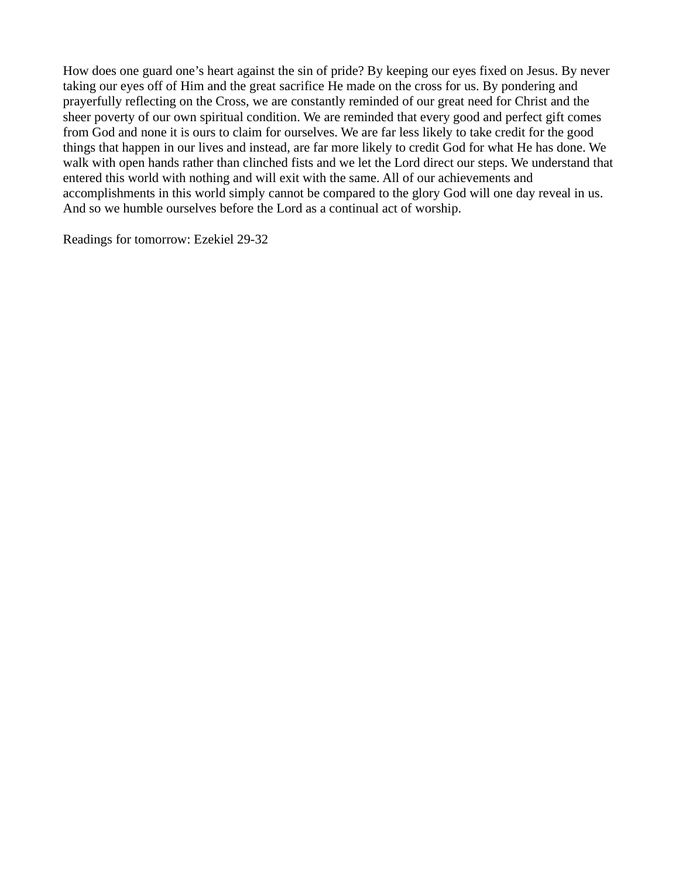How does one guard one's heart against the sin of pride? By keeping our eyes fixed on Jesus. By never taking our eyes off of Him and the great sacrifice He made on the cross for us. By pondering and prayerfully reflecting on the Cross, we are constantly reminded of our great need for Christ and the sheer poverty of our own spiritual condition. We are reminded that every good and perfect gift comes from God and none it is ours to claim for ourselves. We are far less likely to take credit for the good things that happen in our lives and instead, are far more likely to credit God for what He has done. We walk with open hands rather than clinched fists and we let the Lord direct our steps. We understand that entered this world with nothing and will exit with the same. All of our achievements and accomplishments in this world simply cannot be compared to the glory God will one day reveal in us. And so we humble ourselves before the Lord as a continual act of worship.

Readings for tomorrow: Ezekiel 29-32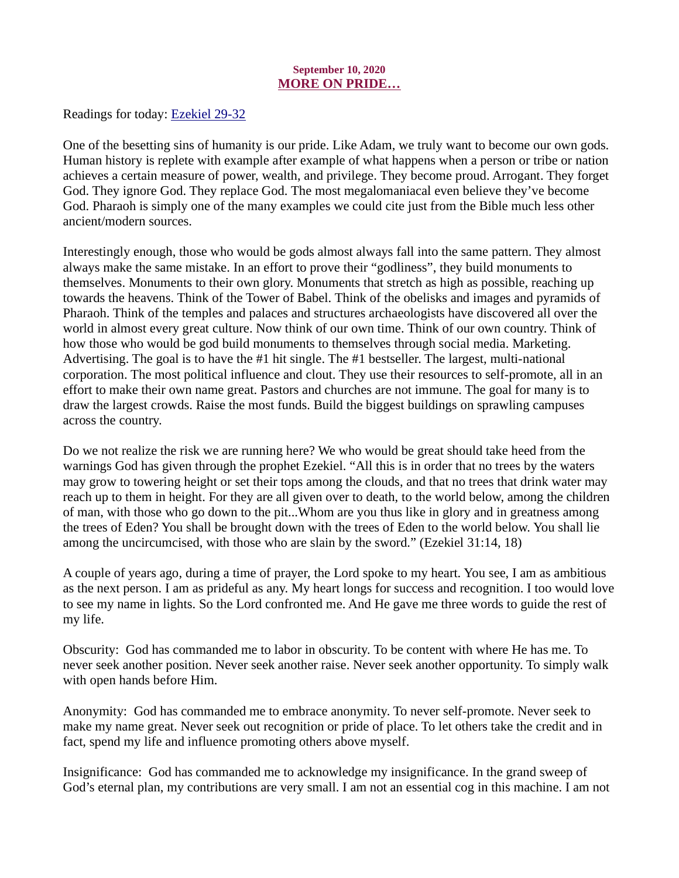# September 10, 2020 MORE ON PRIDE…

<span id="page-16-0"></span>[Readings for today: Ezekiel 29-32](https://www.biblegateway.com/passage/?search=Ezekiel+29-32&version=ESV)

One of the besetting sins of humanity is our pride. Like Adam, we truly want to become our own gods. Human history is replete with example after example of what happens when a person or tribe or nation achieves a certain measure of power, wealth, and privilege. They become proud. Arrogant. They forget God. They ignore God. They replace God. The most megalomaniacal even believe they've become God. Pharaoh is simply one of the many examples we could cite just from the Bible much less other ancient/modern sources.

Interestingly enough, those who would be gods almost always fall into the same pattern. They almost always make the same mistake. In an effort to prove their "godliness", they build monuments to themselves. Monuments to their own glory. Monuments that stretch as high as possible, reaching up towards the heavens. Think of the Tower of Babel. Think of the obelisks and images and pyramids of Pharaoh. Think of the temples and palaces and structures archaeologists have discovered all over the world in almost every great culture. Now think of our own time. Think of our own country. Think of how those who would be god build monuments to themselves through social media. Marketing. Advertising. The goal is to have the #1 hit single. The #1 bestseller. The largest, multi-national corporation. The most political influence and clout. They use their resources to self-promote, all in an effort to make their own name great. Pastors and churches are not immune. The goal for many is to draw the largest crowds. Raise the most funds. Build the biggest buildings on sprawling campuses across the country.

Do we not realize the risk we are running here? We who would be great should take heed from the warnings God has given through the prophet Ezekiel. "All this is in order that no trees by the waters may grow to towering height or set their tops among the clouds, and that no trees that drink water may reach up to them in height. For they are all given over to death, to the world below, among the children of man, with those who go down to the pit...Whom are you thus like in glory and in greatness among the trees of Eden? You shall be brought down with the trees of Eden to the world below. You shall lie among the uncircumcised, with those who are slain by the sword." (Ezekiel 31:14, 18)

A couple of years ago, during a time of prayer, the Lord spoke to my heart. You see, I am as ambitious as the next person. I am as prideful as any. My heart longs for success and recognition. I too would love to see my name in lights. So the Lord confronted me. And He gave me three words to guide the rest of my life.

Obscurity: God has commanded me to labor in obscurity. To be content with where He has me. To never seek another position. Never seek another raise. Never seek another opportunity. To simply walk with open hands before Him.

Anonymity: God has commanded me to embrace anonymity. To never self-promote. Never seek to make my name great. Never seek out recognition or pride of place. To let others take the credit and in fact, spend my life and influence promoting others above myself.

Insignificance: God has commanded me to acknowledge my insignificance. In the grand sweep of God's eternal plan, my contributions are very small. I am not an essential cog in this machine. I am not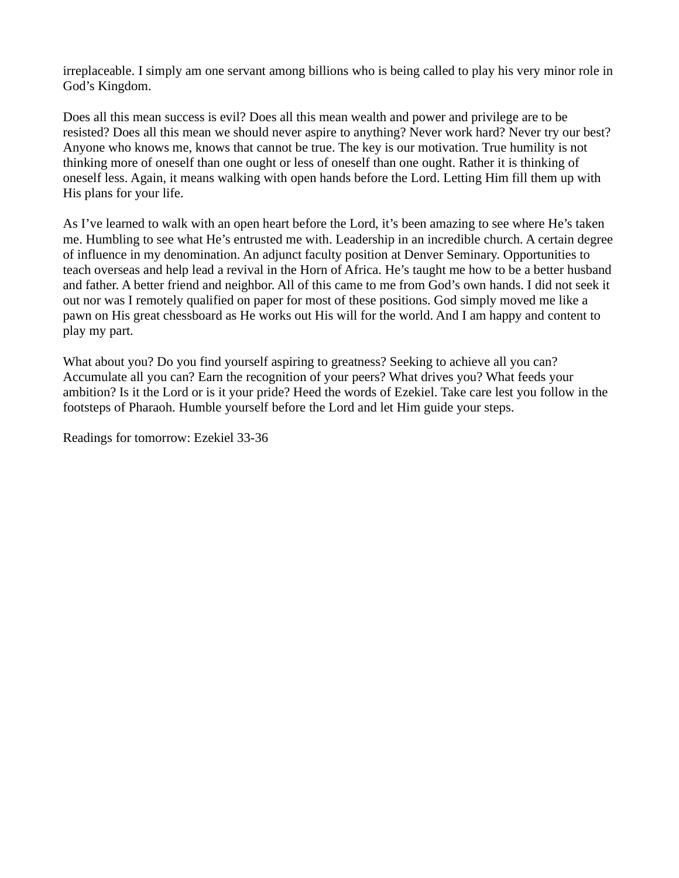irreplaceable. I simply am one servant among billions who is being called to play his very minor role in God's Kingdom.

Does all this mean success is evil? Does all this mean wealth and power and privilege are to be resisted? Does all this mean we should never aspire to anything? Never work hard? Never try our best? Anyone who knows me, knows that cannot be true. The key is our motivation. True humility is not thinking more of oneself than one ought or less of oneself than one ought. Rather it is thinking of oneself less. Again, it means walking with open hands before the Lord. Letting Him fill them up with His plans for your life.

As I've learned to walk with an open heart before the Lord, it's been amazing to see where He's taken me. Humbling to see what He's entrusted me with. Leadership in an incredible church. A certain degree of influence in my denomination. An adjunct faculty position at Denver Seminary. Opportunities to teach overseas and help lead a revival in the Horn of Africa. He's taught me how to be a better husband and father. A better friend and neighbor. All of this came to me from God's own hands. I did not seek it out nor was I remotely qualified on paper for most of these positions. God simply moved me like a pawn on His great chessboard as He works out His will for the world. And I am happy and content to play my part.

What about you? Do you find yourself aspiring to greatness? Seeking to achieve all you can? Accumulate all you can? Earn the recognition of your peers? What drives you? What feeds your ambition? Is it the Lord or is it your pride? Heed the words of Ezekiel. Take care lest you follow in the footsteps of Pharaoh. Humble yourself before the Lord and let Him guide your steps.

Readings for tomorrow: Ezekiel 33-36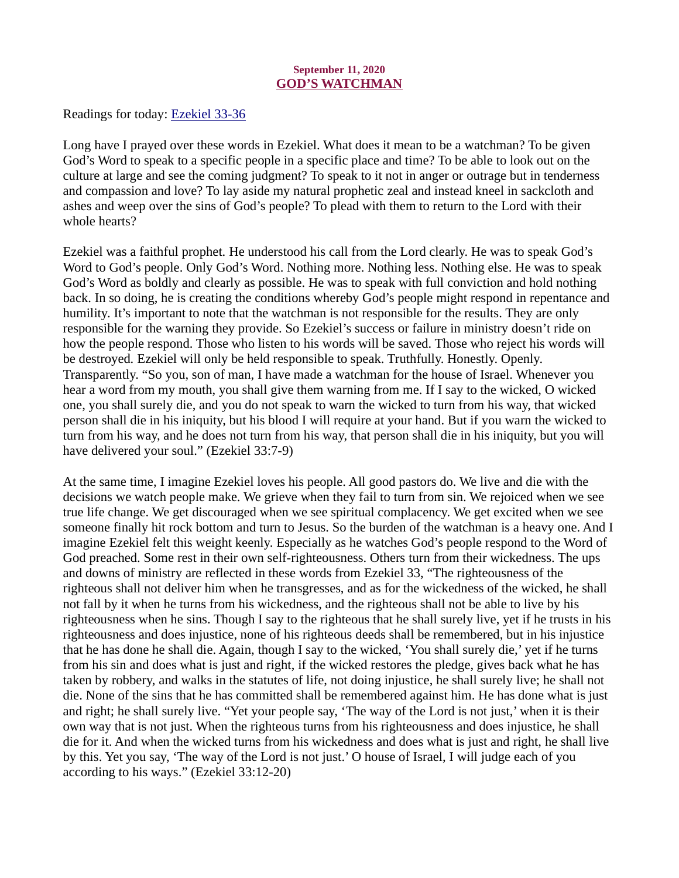#### September 11, 2020 GOD'S WATCHMAN

<span id="page-18-0"></span>[Readings for today: Ezekiel 33-36](https://www.biblegateway.com/passage/?search=Ezekiel+33-36&version=ESV)

Long have I prayed over these words in Ezekiel. What does it mean to be a watchman? To be given God's Word to speak to a specific people in a specific place and time? To be able to look out on the culture at large and see the coming judgment? To speak to it not in anger or outrage but in tenderness and compassion and love? To lay aside my natural prophetic zeal and instead kneel in sackcloth and ashes and weep over the sins of God's people? To plead with them to return to the Lord with their whole hearts?

Ezekiel was a faithful prophet. He understood his call from the Lord clearly. He was to speak God's Word to God's people. Only God's Word. Nothing more. Nothing less. Nothing else. He was to speak God's Word as boldly and clearly as possible. He was to speak with full conviction and hold nothing back. In so doing, he is creating the conditions whereby God's people might respond in repentance and humility. It's important to note that the watchman is not responsible for the results. They are only responsible for the warning they provide. So Ezekiel's success or failure in ministry doesn't ride on how the people respond. Those who listen to his words will be saved. Those who reject his words will be destroyed. Ezekiel will only be held responsible to speak. Truthfully. Honestly. Openly. Transparently. "So you, son of man, I have made a watchman for the house of Israel. Whenever you hear a word from my mouth, you shall give them warning from me. If I say to the wicked, O wicked one, you shall surely die, and you do not speak to warn the wicked to turn from his way, that wicked person shall die in his iniquity, but his blood I will require at your hand. But if you warn the wicked to turn from his way, and he does not turn from his way, that person shall die in his iniquity, but you will have delivered your soul." (Ezekiel 33:7-9)

At the same time, I imagine Ezekiel loves his people. All good pastors do. We live and die with the decisions we watch people make. We grieve when they fail to turn from sin. We rejoiced when we see true life change. We get discouraged when we see spiritual complacency. We get excited when we see someone finally hit rock bottom and turn to Jesus. So the burden of the watchman is a heavy one. And I imagine Ezekiel felt this weight keenly. Especially as he watches God's people respond to the Word of God preached. Some rest in their own self-righteousness. Others turn from their wickedness. The ups and downs of ministry are reflected in these words from Ezekiel 33, "The righteousness of the righteous shall not deliver him when he transgresses, and as for the wickedness of the wicked, he shall not fall by it when he turns from his wickedness, and the righteous shall not be able to live by his righteousness when he sins. Though I say to the righteous that he shall surely live, yet if he trusts in his righteousness and does injustice, none of his righteous deeds shall be remembered, but in his injustice that he has done he shall die. Again, though I say to the wicked, 'You shall surely die,' yet if he turns from his sin and does what is just and right, if the wicked restores the pledge, gives back what he has taken by robbery, and walks in the statutes of life, not doing injustice, he shall surely live; he shall not die. None of the sins that he has committed shall be remembered against him. He has done what is just and right; he shall surely live. "Yet your people say, 'The way of the Lord is not just,' when it is their own way that is not just. When the righteous turns from his righteousness and does injustice, he shall die for it. And when the wicked turns from his wickedness and does what is just and right, he shall live by this. Yet you say, 'The way of the Lord is not just.' O house of Israel, I will judge each of you according to his ways." (Ezekiel 33:12-20)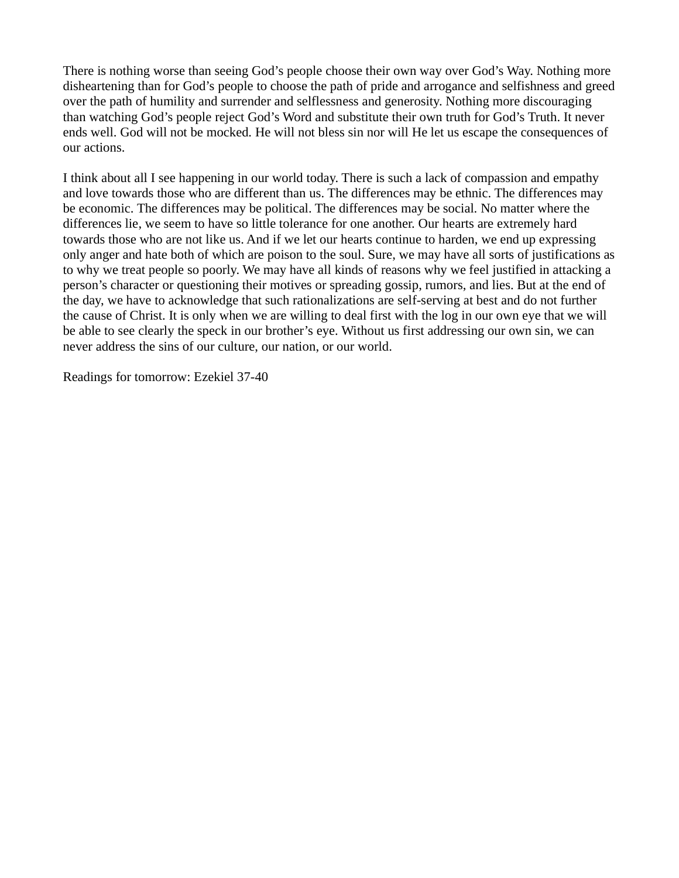There is nothing worse than seeing God's people choose their own way over God's Way. Nothing more disheartening than for God's people to choose the path of pride and arrogance and selfishness and greed over the path of humility and surrender and selflessness and generosity. Nothing more discouraging than watching God's people reject God's Word and substitute their own truth for God's Truth. It never ends well. God will not be mocked. He will not bless sin nor will He let us escape the consequences of our actions.

I think about all I see happening in our world today. There is such a lack of compassion and empathy and love towards those who are different than us. The differences may be ethnic. The differences may be economic. The differences may be political. The differences may be social. No matter where the differences lie, we seem to have so little tolerance for one another. Our hearts are extremely hard towards those who are not like us. And if we let our hearts continue to harden, we end up expressing only anger and hate both of which are poison to the soul. Sure, we may have all sorts of justifications as to why we treat people so poorly. We may have all kinds of reasons why we feel justified in attacking a person's character or questioning their motives or spreading gossip, rumors, and lies. But at the end of the day, we have to acknowledge that such rationalizations are self-serving at best and do not further the cause of Christ. It is only when we are willing to deal first with the log in our own eye that we will be able to see clearly the speck in our brother's eye. Without us first addressing our own sin, we can never address the sins of our culture, our nation, or our world.

Readings for tomorrow: Ezekiel 37-40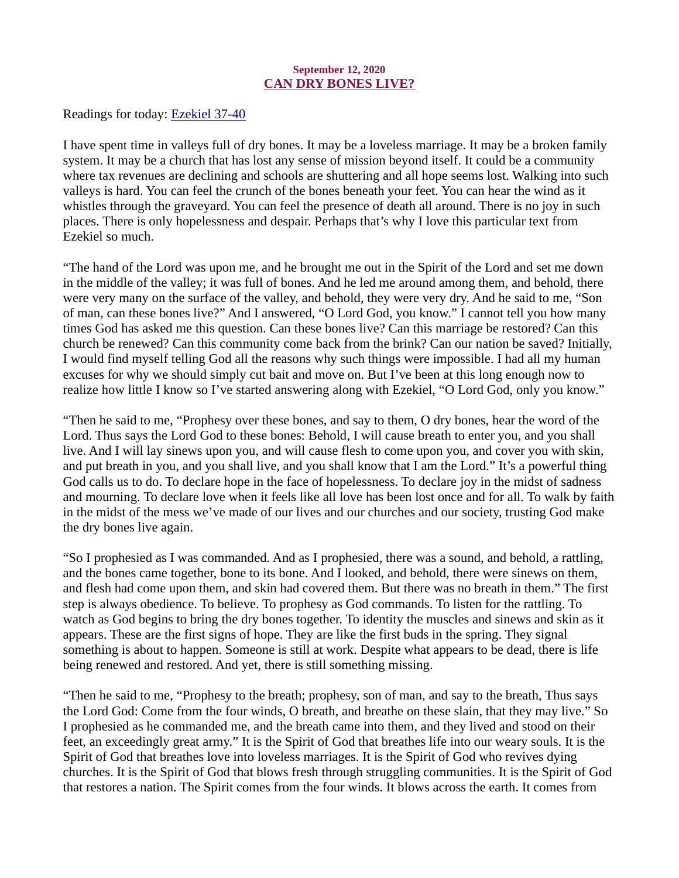## September 12, 2020 CAN DRY BONES LIVE?

<span id="page-20-0"></span>[Readings for today: Ezekiel 37-40](https://www.biblegateway.com/passage/?search=Ezekiel+37-40&version=ESV)

I have spent time in valleys full of dry bones. It may be a loveless marriage. It may be a broken family system. It may be a church that has lost any sense of mission beyond itself. It could be a community where tax revenues are declining and schools are shuttering and all hope seems lost. Walking into such valleys is hard. You can feel the crunch of the bones beneath your feet. You can hear the wind as it whistles through the graveyard. You can feel the presence of death all around. There is no joy in such places. There is only hopelessness and despair. Perhaps that's why I love this particular text from Ezekiel so much.

"The hand of the Lord was upon me, and he brought me out in the Spirit of the Lord and set me down in the middle of the valley; it was full of bones. And he led me around among them, and behold, there were very many on the surface of the valley, and behold, they were very dry. And he said to me, "Son of man, can these bones live?" And I answered, "O Lord God, you know." I cannot tell you how many times God has asked me this question. Can these bones live? Can this marriage be restored? Can this church be renewed? Can this community come back from the brink? Can our nation be saved? Initially, I would find myself telling God all the reasons why such things were impossible. I had all my human excuses for why we should simply cut bait and move on. But I've been at this long enough now to realize how little I know so I've started answering along with Ezekiel, "O Lord God, only you know."

"Then he said to me, "Prophesy over these bones, and say to them, O dry bones, hear the word of the Lord. Thus says the Lord God to these bones: Behold, I will cause breath to enter you, and you shall live. And I will lay sinews upon you, and will cause flesh to come upon you, and cover you with skin, and put breath in you, and you shall live, and you shall know that I am the Lord." It's a powerful thing God calls us to do. To declare hope in the face of hopelessness. To declare joy in the midst of sadness and mourning. To declare love when it feels like all love has been lost once and for all. To walk by faith in the midst of the mess we've made of our lives and our churches and our society, trusting God make the dry bones live again.

"So I prophesied as I was commanded. And as I prophesied, there was a sound, and behold, a rattling, and the bones came together, bone to its bone. And I looked, and behold, there were sinews on them, and flesh had come upon them, and skin had covered them. But there was no breath in them." The first step is always obedience. To believe. To prophesy as God commands. To listen for the rattling. To watch as God begins to bring the dry bones together. To identity the muscles and sinews and skin as it appears. These are the first signs of hope. They are like the first buds in the spring. They signal something is about to happen. Someone is still at work. Despite what appears to be dead, there is life being renewed and restored. And yet, there is still something missing.

"Then he said to me, "Prophesy to the breath; prophesy, son of man, and say to the breath, Thus says the Lord God: Come from the four winds, O breath, and breathe on these slain, that they may live." So I prophesied as he commanded me, and the breath came into them, and they lived and stood on their feet, an exceedingly great army." It is the Spirit of God that breathes life into our weary souls. It is the Spirit of God that breathes love into loveless marriages. It is the Spirit of God who revives dying churches. It is the Spirit of God that blows fresh through struggling communities. It is the Spirit of God that restores a nation. The Spirit comes from the four winds. It blows across the earth. It comes from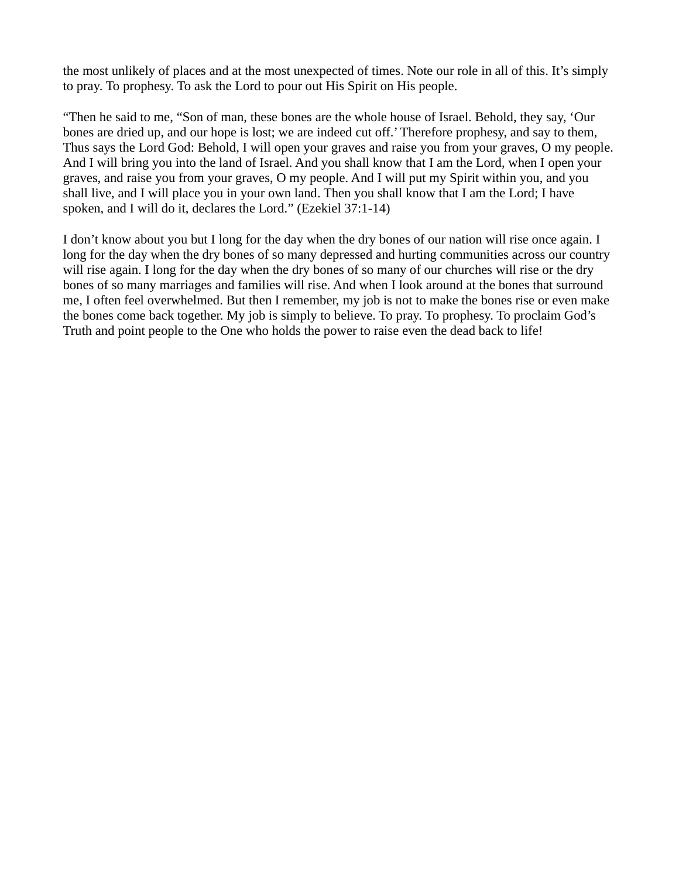the most unlikely of places and at the most unexpected of times. Note our role in all of this. It's simply to pray. To prophesy. To ask the Lord to pour out His Spirit on His people.

"Then he said to me, "Son of man, these bones are the whole house of Israel. Behold, they say, 'Our bones are dried up, and our hope is lost; we are indeed cut off.' Therefore prophesy, and say to them, Thus says the Lord God: Behold, I will open your graves and raise you from your graves, O my people. And I will bring you into the land of Israel. And you shall know that I am the Lord, when I open your graves, and raise you from your graves, O my people. And I will put my Spirit within you, and you shall live, and I will place you in your own land. Then you shall know that I am the Lord; I have spoken, and I will do it, declares the Lord." (Ezekiel 37:1-14)

I don't know about you but I long for the day when the dry bones of our nation will rise once again. I long for the day when the dry bones of so many depressed and hurting communities across our country will rise again. I long for the day when the dry bones of so many of our churches will rise or the dry bones of so many marriages and families will rise. And when I look around at the bones that surround me, I often feel overwhelmed. But then I remember, my job is not to make the bones rise or even make the bones come back together. My job is simply to believe. To pray. To prophesy. To proclaim God's Truth and point people to the One who holds the power to raise even the dead back to life!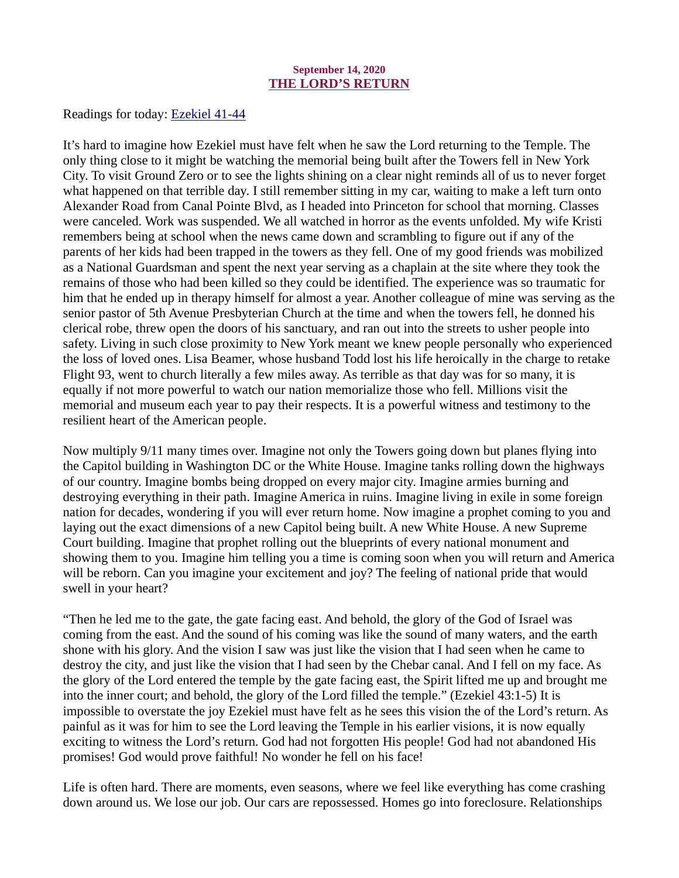#### September 14, 2020 THE LORD'S RETURN

<span id="page-22-0"></span>[Readings for today: Ezekiel 41-44](https://www.biblegateway.com/passage/?search=Ezekiel+41-44&version=ESV)

It's hard to imagine how Ezekiel must have felt when he saw the Lord returning to the Temple. The only thing close to it might be watching the memorial being built after the Towers fell in New York City. To visit Ground Zero or to see the lights shining on a clear night reminds all of us to never forget what happened on that terrible day. I still remember sitting in my car, waiting to make a left turn onto Alexander Road from Canal Pointe Blvd, as I headed into Princeton for school that morning. Classes were canceled. Work was suspended. We all watched in horror as the events unfolded. My wife Kristi remembers being at school when the news came down and scrambling to figure out if any of the parents of her kids had been trapped in the towers as they fell. One of my good friends was mobilized as a National Guardsman and spent the next year serving as a chaplain at the site where they took the remains of those who had been killed so they could be identified. The experience was so traumatic for him that he ended up in therapy himself for almost a year. Another colleague of mine was serving as the senior pastor of 5th Avenue Presbyterian Church at the time and when the towers fell, he donned his clerical robe, threw open the doors of his sanctuary, and ran out into the streets to usher people into safety. Living in such close proximity to New York meant we knew people personally who experienced the loss of loved ones. Lisa Beamer, whose husband Todd lost his life heroically in the charge to retake Flight 93, went to church literally a few miles away. As terrible as that day was for so many, it is equally if not more powerful to watch our nation memorialize those who fell. Millions visit the memorial and museum each year to pay their respects. It is a powerful witness and testimony to the resilient heart of the American people.

Now multiply 9/11 many times over. Imagine not only the Towers going down but planes flying into the Capitol building in Washington DC or the White House. Imagine tanks rolling down the highways of our country. Imagine bombs being dropped on every major city. Imagine armies burning and destroying everything in their path. Imagine America in ruins. Imagine living in exile in some foreign nation for decades, wondering if you will ever return home. Now imagine a prophet coming to you and laying out the exact dimensions of a new Capitol being built. A new White House. A new Supreme Court building. Imagine that prophet rolling out the blueprints of every national monument and showing them to you. Imagine him telling you a time is coming soon when you will return and America will be reborn. Can you imagine your excitement and joy? The feeling of national pride that would swell in your heart?

"Then he led me to the gate, the gate facing east. And behold, the glory of the God of Israel was coming from the east. And the sound of his coming was like the sound of many waters, and the earth shone with his glory. And the vision I saw was just like the vision that I had seen when he came to destroy the city, and just like the vision that I had seen by the Chebar canal. And I fell on my face. As the glory of the Lord entered the temple by the gate facing east, the Spirit lifted me up and brought me into the inner court; and behold, the glory of the Lord filled the temple." (Ezekiel 43:1-5) It is impossible to overstate the joy Ezekiel must have felt as he sees this vision the of the Lord's return. As painful as it was for him to see the Lord leaving the Temple in his earlier visions, it is now equally exciting to witness the Lord's return. God had not forgotten His people! God had not abandoned His promises! God would prove faithful! No wonder he fell on his face!

Life is often hard. There are moments, even seasons, where we feel like everything has come crashing down around us. We lose our job. Our cars are repossessed. Homes go into foreclosure. Relationships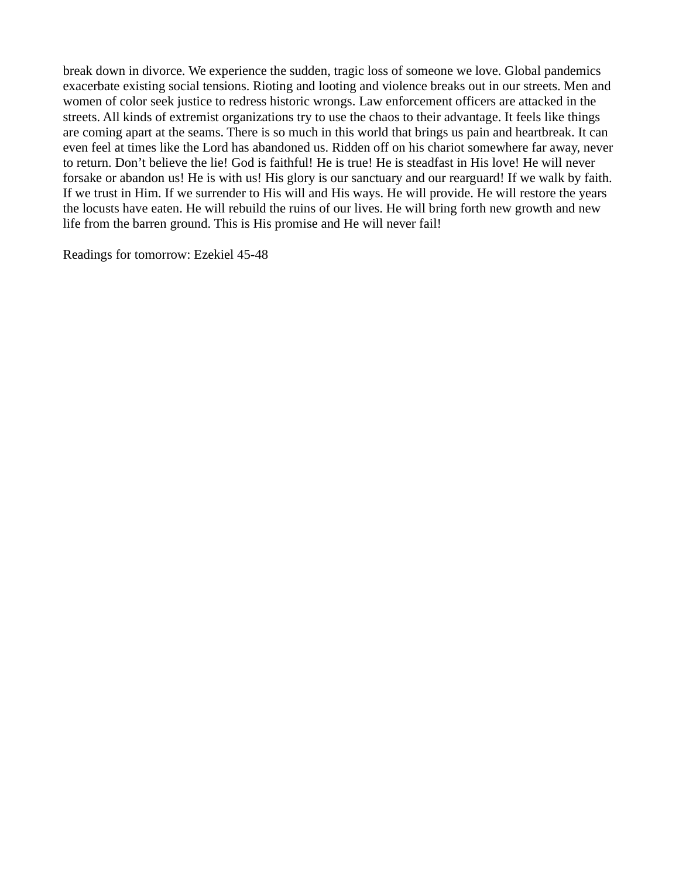break down in divorce. We experience the sudden, tragic loss of someone we love. Global pandemics exacerbate existing social tensions. Rioting and looting and violence breaks out in our streets. Men and women of color seek justice to redress historic wrongs. Law enforcement officers are attacked in the streets. All kinds of extremist organizations try to use the chaos to their advantage. It feels like things are coming apart at the seams. There is so much in this world that brings us pain and heartbreak. It can even feel at times like the Lord has abandoned us. Ridden off on his chariot somewhere far away, never to return. Don't believe the lie! God is faithful! He is true! He is steadfast in His love! He will never forsake or abandon us! He is with us! His glory is our sanctuary and our rearguard! If we walk by faith. If we trust in Him. If we surrender to His will and His ways. He will provide. He will restore the years the locusts have eaten. He will rebuild the ruins of our lives. He will bring forth new growth and new life from the barren ground. This is His promise and He will never fail!

Readings for tomorrow: Ezekiel 45-48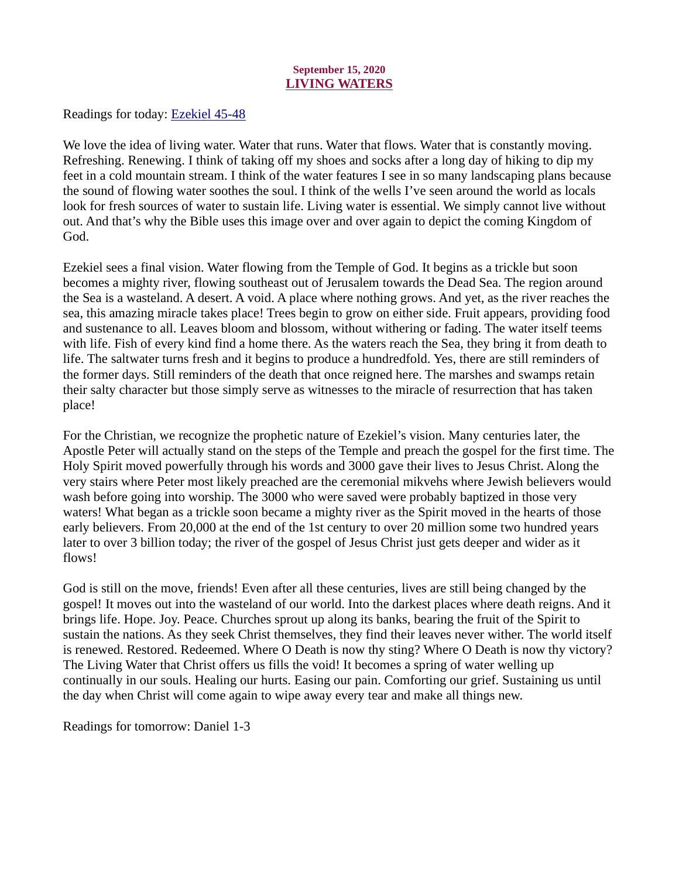## September 15, 2020 LIVING WATERS

<span id="page-24-0"></span>[Readings for today: Ezekiel 45-48](https://www.biblegateway.com/passage/?search=Ezekiel+45-48&version=ESV)

We love the idea of living water. Water that runs. Water that flows. Water that is constantly moving. Refreshing. Renewing. I think of taking off my shoes and socks after a long day of hiking to dip my feet in a cold mountain stream. I think of the water features I see in so many landscaping plans because the sound of flowing water soothes the soul. I think of the wells I've seen around the world as locals look for fresh sources of water to sustain life. Living water is essential. We simply cannot live without out. And that's why the Bible uses this image over and over again to depict the coming Kingdom of God.

Ezekiel sees a final vision. Water flowing from the Temple of God. It begins as a trickle but soon becomes a mighty river, flowing southeast out of Jerusalem towards the Dead Sea. The region around the Sea is a wasteland. A desert. A void. A place where nothing grows. And yet, as the river reaches the sea, this amazing miracle takes place! Trees begin to grow on either side. Fruit appears, providing food and sustenance to all. Leaves bloom and blossom, without withering or fading. The water itself teems with life. Fish of every kind find a home there. As the waters reach the Sea, they bring it from death to life. The saltwater turns fresh and it begins to produce a hundredfold. Yes, there are still reminders of the former days. Still reminders of the death that once reigned here. The marshes and swamps retain their salty character but those simply serve as witnesses to the miracle of resurrection that has taken place!

For the Christian, we recognize the prophetic nature of Ezekiel's vision. Many centuries later, the Apostle Peter will actually stand on the steps of the Temple and preach the gospel for the first time. The Holy Spirit moved powerfully through his words and 3000 gave their lives to Jesus Christ. Along the very stairs where Peter most likely preached are the ceremonial mikvehs where Jewish believers would wash before going into worship. The 3000 who were saved were probably baptized in those very waters! What began as a trickle soon became a mighty river as the Spirit moved in the hearts of those early believers. From 20,000 at the end of the 1st century to over 20 million some two hundred years later to over 3 billion today; the river of the gospel of Jesus Christ just gets deeper and wider as it flows!

God is still on the move, friends! Even after all these centuries, lives are still being changed by the gospel! It moves out into the wasteland of our world. Into the darkest places where death reigns. And it brings life. Hope. Joy. Peace. Churches sprout up along its banks, bearing the fruit of the Spirit to sustain the nations. As they seek Christ themselves, they find their leaves never wither. The world itself is renewed. Restored. Redeemed. Where O Death is now thy sting? Where O Death is now thy victory? The Living Water that Christ offers us fills the void! It becomes a spring of water welling up continually in our souls. Healing our hurts. Easing our pain. Comforting our grief. Sustaining us until the day when Christ will come again to wipe away every tear and make all things new.

Readings for tomorrow: Daniel 1-3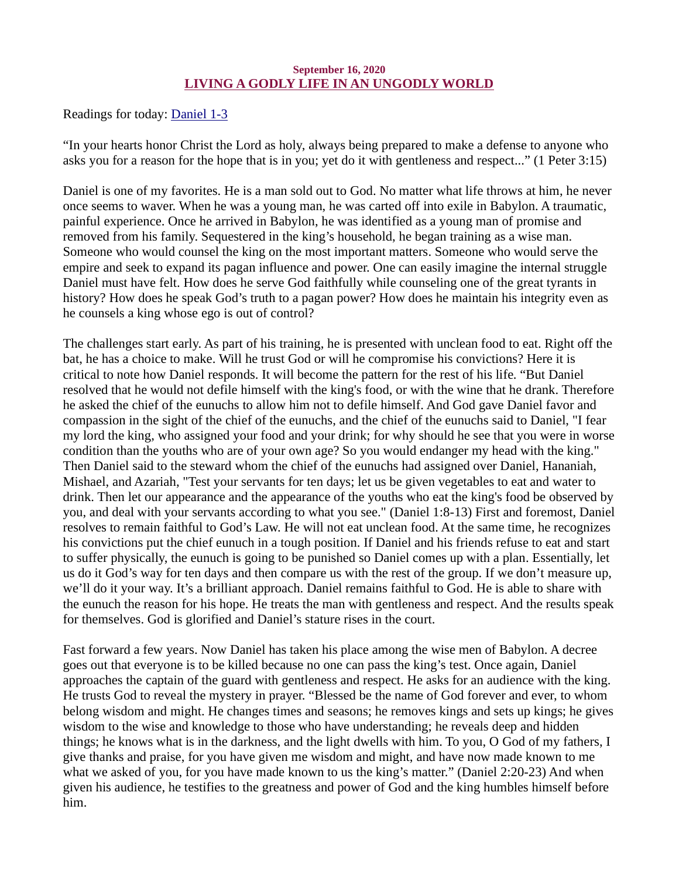## September 16, 2020 LIVING A GODLY LIFE IN AN UNGODLY WORLD

<span id="page-25-0"></span>Readings for today: **Daniel 1-3** 

"In your hearts honor Christ the Lord as holy, always being prepared to make a defense to anyone who asks you for a reason for the hope that is in you; yet do it with gentleness and respect..." (1 Peter 3:15)

Daniel is one of my favorites. He is a man sold out to God. No matter what life throws at him, he never once seems to waver. When he was a young man, he was carted off into exile in Babylon. A traumatic, painful experience. Once he arrived in Babylon, he was identified as a young man of promise and removed from his family. Sequestered in the king's household, he began training as a wise man. Someone who would counsel the king on the most important matters. Someone who would serve the empire and seek to expand its pagan influence and power. One can easily imagine the internal struggle Daniel must have felt. How does he serve God faithfully while counseling one of the great tyrants in history? How does he speak God's truth to a pagan power? How does he maintain his integrity even as he counsels a king whose ego is out of control?

The challenges start early. As part of his training, he is presented with unclean food to eat. Right off the bat, he has a choice to make. Will he trust God or will he compromise his convictions? Here it is critical to note how Daniel responds. It will become the pattern for the rest of his life. "But Daniel resolved that he would not defile himself with the king's food, or with the wine that he drank. Therefore he asked the chief of the eunuchs to allow him not to defile himself. And God gave Daniel favor and compassion in the sight of the chief of the eunuchs, and the chief of the eunuchs said to Daniel, "I fear my lord the king, who assigned your food and your drink; for why should he see that you were in worse condition than the youths who are of your own age? So you would endanger my head with the king." Then Daniel said to the steward whom the chief of the eunuchs had assigned over Daniel, Hananiah, Mishael, and Azariah, "Test your servants for ten days; let us be given vegetables to eat and water to drink. Then let our appearance and the appearance of the youths who eat the king's food be observed by you, and deal with your servants according to what you see." (Daniel 1:8-13) First and foremost, Daniel resolves to remain faithful to God's Law. He will not eat unclean food. At the same time, he recognizes his convictions put the chief eunuch in a tough position. If Daniel and his friends refuse to eat and start to suffer physically, the eunuch is going to be punished so Daniel comes up with a plan. Essentially, let us do it God's way for ten days and then compare us with the rest of the group. If we don't measure up, we'll do it your way. It's a brilliant approach. Daniel remains faithful to God. He is able to share with the eunuch the reason for his hope. He treats the man with gentleness and respect. And the results speak for themselves. God is glorified and Daniel's stature rises in the court.

Fast forward a few years. Now Daniel has taken his place among the wise men of Babylon. A decree goes out that everyone is to be killed because no one can pass the king's test. Once again, Daniel approaches the captain of the guard with gentleness and respect. He asks for an audience with the king. He trusts God to reveal the mystery in prayer. "Blessed be the name of God forever and ever, to whom belong wisdom and might. He changes times and seasons; he removes kings and sets up kings; he gives wisdom to the wise and knowledge to those who have understanding; he reveals deep and hidden things; he knows what is in the darkness, and the light dwells with him. To you, O God of my fathers, I give thanks and praise, for you have given me wisdom and might, and have now made known to me what we asked of you, for you have made known to us the king's matter." (Daniel 2:20-23) And when given his audience, he testifies to the greatness and power of God and the king humbles himself before him.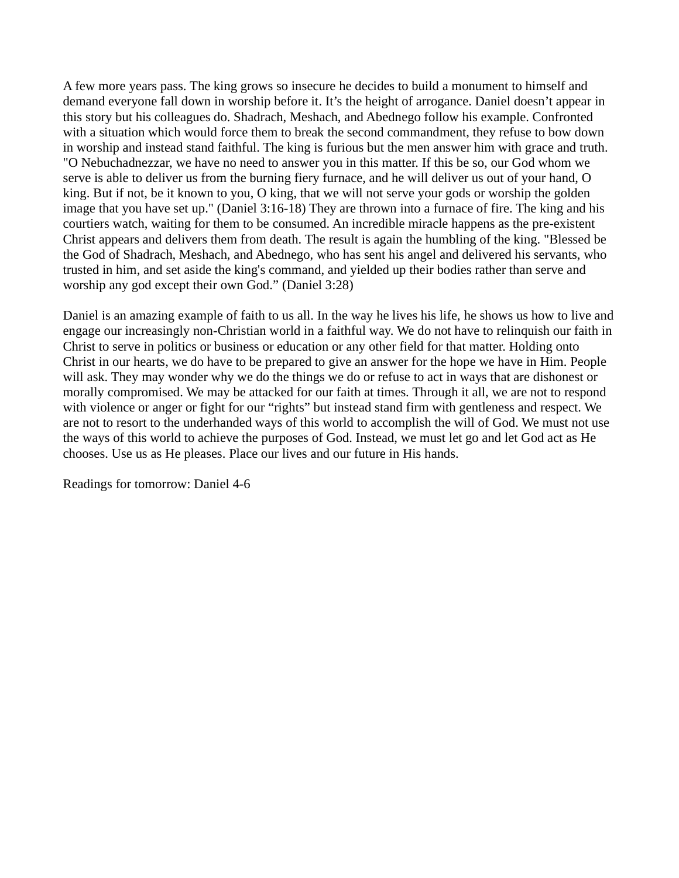A few more years pass. The king grows so insecure he decides to build a monument to himself and demand everyone fall down in worship before it. It's the height of arrogance. Daniel doesn't appear in this story but his colleagues do. Shadrach, Meshach, and Abednego follow his example. Confronted with a situation which would force them to break the second commandment, they refuse to bow down in worship and instead stand faithful. The king is furious but the men answer him with grace and truth. "O Nebuchadnezzar, we have no need to answer you in this matter. If this be so, our God whom we serve is able to deliver us from the burning fiery furnace, and he will deliver us out of your hand, O king. But if not, be it known to you, O king, that we will not serve your gods or worship the golden image that you have set up." (Daniel 3:16-18) They are thrown into a furnace of fire. The king and his courtiers watch, waiting for them to be consumed. An incredible miracle happens as the pre-existent Christ appears and delivers them from death. The result is again the humbling of the king. "Blessed be the God of Shadrach, Meshach, and Abednego, who has sent his angel and delivered his servants, who trusted in him, and set aside the king's command, and yielded up their bodies rather than serve and worship any god except their own God." (Daniel 3:28)

Daniel is an amazing example of faith to us all. In the way he lives his life, he shows us how to live and engage our increasingly non-Christian world in a faithful way. We do not have to relinquish our faith in Christ to serve in politics or business or education or any other field for that matter. Holding onto Christ in our hearts, we do have to be prepared to give an answer for the hope we have in Him. People will ask. They may wonder why we do the things we do or refuse to act in ways that are dishonest or morally compromised. We may be attacked for our faith at times. Through it all, we are not to respond with violence or anger or fight for our "rights" but instead stand firm with gentleness and respect. We are not to resort to the underhanded ways of this world to accomplish the will of God. We must not use the ways of this world to achieve the purposes of God. Instead, we must let go and let God act as He chooses. Use us as He pleases. Place our lives and our future in His hands.

Readings for tomorrow: Daniel 4-6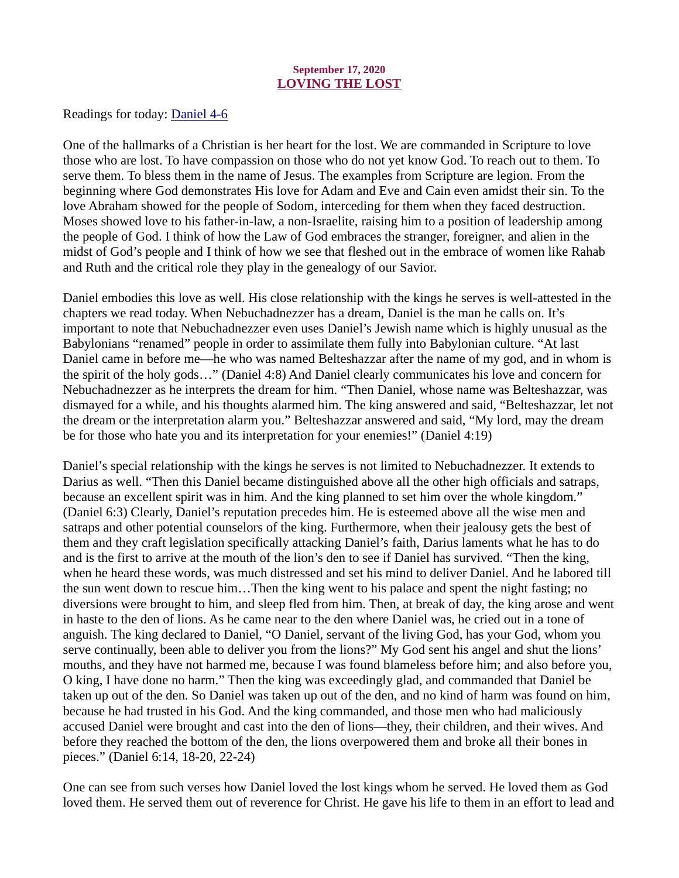## September 17, 2020 LOVING THE LOST

<span id="page-27-0"></span>Readings for today: **Daniel 4-6** 

One of the hallmarks of a Christian is her heart for the lost. We are commanded in Scripture to love those who are lost. To have compassion on those who do not yet know God. To reach out to them. To serve them. To bless them in the name of Jesus. The examples from Scripture are legion. From the beginning where God demonstrates His love for Adam and Eve and Cain even amidst their sin. To the love Abraham showed for the people of Sodom, interceding for them when they faced destruction. Moses showed love to his father-in-law, a non-Israelite, raising him to a position of leadership among the people of God. I think of how the Law of God embraces the stranger, foreigner, and alien in the midst of God's people and I think of how we see that fleshed out in the embrace of women like Rahab and Ruth and the critical role they play in the genealogy of our Savior.

Daniel embodies this love as well. His close relationship with the kings he serves is well-attested in the chapters we read today. When Nebuchadnezzer has a dream, Daniel is the man he calls on. It's important to note that Nebuchadnezzer even uses Daniel's Jewish name which is highly unusual as the Babylonians "renamed" people in order to assimilate them fully into Babylonian culture. "At last Daniel came in before me—he who was named Belteshazzar after the name of my god, and in whom is the spirit of the holy gods…" (Daniel 4:8) And Daniel clearly communicates his love and concern for Nebuchadnezzer as he interprets the dream for him. "Then Daniel, whose name was Belteshazzar, was dismayed for a while, and his thoughts alarmed him. The king answered and said, "Belteshazzar, let not the dream or the interpretation alarm you." Belteshazzar answered and said, "My lord, may the dream be for those who hate you and its interpretation for your enemies!" (Daniel 4:19)

Daniel's special relationship with the kings he serves is not limited to Nebuchadnezzer. It extends to Darius as well. "Then this Daniel became distinguished above all the other high officials and satraps, because an excellent spirit was in him. And the king planned to set him over the whole kingdom." (Daniel 6:3) Clearly, Daniel's reputation precedes him. He is esteemed above all the wise men and satraps and other potential counselors of the king. Furthermore, when their jealousy gets the best of them and they craft legislation specifically attacking Daniel's faith, Darius laments what he has to do and is the first to arrive at the mouth of the lion's den to see if Daniel has survived. "Then the king, when he heard these words, was much distressed and set his mind to deliver Daniel. And he labored till the sun went down to rescue him…Then the king went to his palace and spent the night fasting; no diversions were brought to him, and sleep fled from him. Then, at break of day, the king arose and went in haste to the den of lions. As he came near to the den where Daniel was, he cried out in a tone of anguish. The king declared to Daniel, "O Daniel, servant of the living God, has your God, whom you serve continually, been able to deliver you from the lions?" My God sent his angel and shut the lions' mouths, and they have not harmed me, because I was found blameless before him; and also before you, O king, I have done no harm." Then the king was exceedingly glad, and commanded that Daniel be taken up out of the den. So Daniel was taken up out of the den, and no kind of harm was found on him, because he had trusted in his God. And the king commanded, and those men who had maliciously accused Daniel were brought and cast into the den of lions—they, their children, and their wives. And before they reached the bottom of the den, the lions overpowered them and broke all their bones in pieces." (Daniel 6:14, 18-20, 22-24)

One can see from such verses how Daniel loved the lost kings whom he served. He loved them as God loved them. He served them out of reverence for Christ. He gave his life to them in an effort to lead and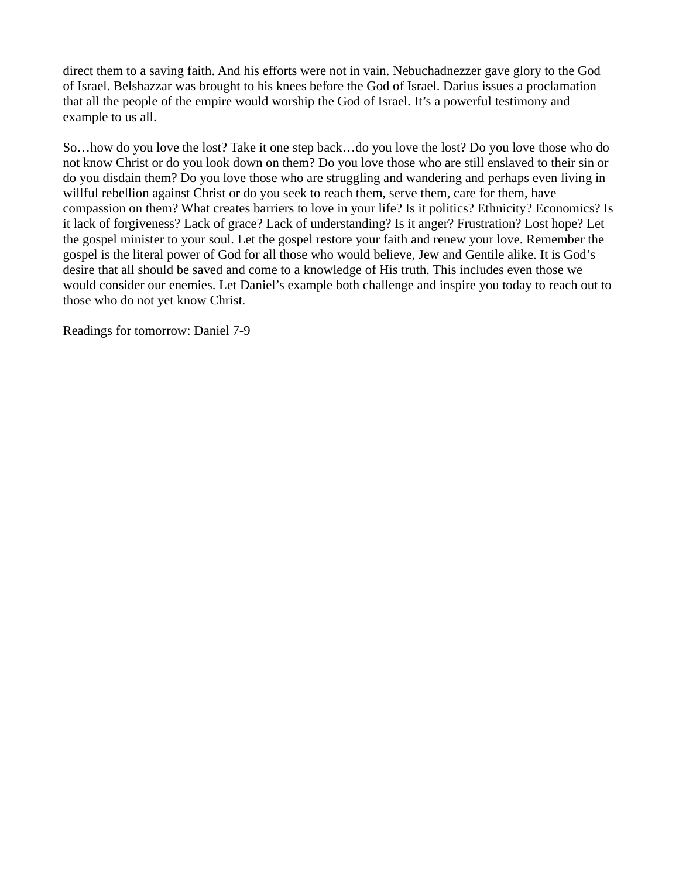direct them to a saving faith. And his efforts were not in vain. Nebuchadnezzer gave glory to the God of Israel. Belshazzar was brought to his knees before the God of Israel. Darius issues a proclamation that all the people of the empire would worship the God of Israel. It's a powerful testimony and example to us all.

So…how do you love the lost? Take it one step back…do you love the lost? Do you love those who do not know Christ or do you look down on them? Do you love those who are still enslaved to their sin or do you disdain them? Do you love those who are struggling and wandering and perhaps even living in willful rebellion against Christ or do you seek to reach them, serve them, care for them, have compassion on them? What creates barriers to love in your life? Is it politics? Ethnicity? Economics? Is it lack of forgiveness? Lack of grace? Lack of understanding? Is it anger? Frustration? Lost hope? Let the gospel minister to your soul. Let the gospel restore your faith and renew your love. Remember the gospel is the literal power of God for all those who would believe, Jew and Gentile alike. It is God's desire that all should be saved and come to a knowledge of His truth. This includes even those we would consider our enemies. Let Daniel's example both challenge and inspire you today to reach out to those who do not yet know Christ.

Readings for tomorrow: Daniel 7-9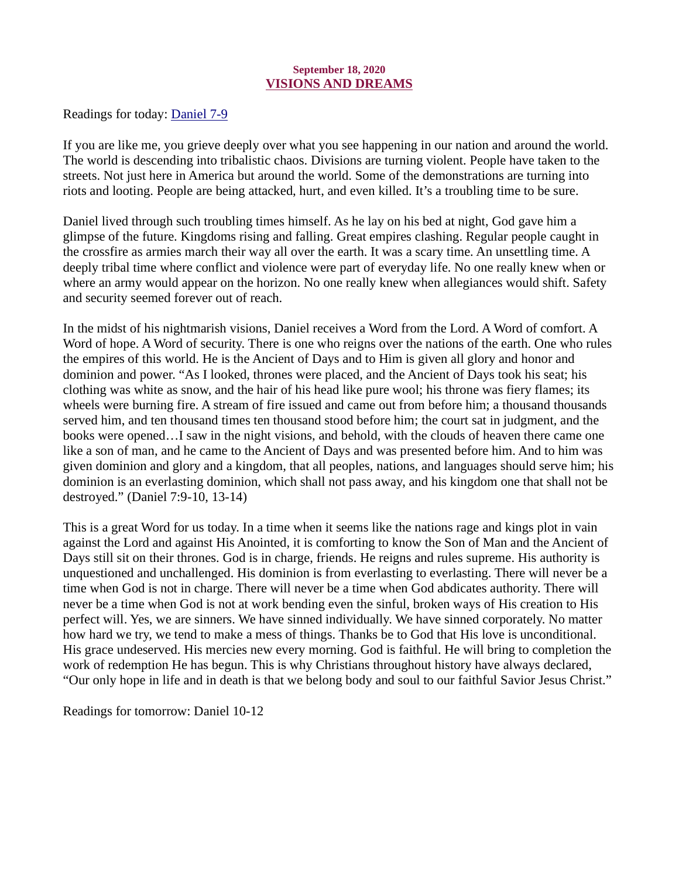#### September 18, 2020 VISIONS AND DREAMS

<span id="page-29-0"></span>Readings for today: **Daniel 7-9** 

If you are like me, you grieve deeply over what you see happening in our nation and around the world. The world is descending into tribalistic chaos. Divisions are turning violent. People have taken to the streets. Not just here in America but around the world. Some of the demonstrations are turning into riots and looting. People are being attacked, hurt, and even killed. It's a troubling time to be sure.

Daniel lived through such troubling times himself. As he lay on his bed at night, God gave him a glimpse of the future. Kingdoms rising and falling. Great empires clashing. Regular people caught in the crossfire as armies march their way all over the earth. It was a scary time. An unsettling time. A deeply tribal time where conflict and violence were part of everyday life. No one really knew when or where an army would appear on the horizon. No one really knew when allegiances would shift. Safety and security seemed forever out of reach.

In the midst of his nightmarish visions, Daniel receives a Word from the Lord. A Word of comfort. A Word of hope. A Word of security. There is one who reigns over the nations of the earth. One who rules the empires of this world. He is the Ancient of Days and to Him is given all glory and honor and dominion and power. "As I looked, thrones were placed, and the Ancient of Days took his seat; his clothing was white as snow, and the hair of his head like pure wool; his throne was fiery flames; its wheels were burning fire. A stream of fire issued and came out from before him; a thousand thousands served him, and ten thousand times ten thousand stood before him; the court sat in judgment, and the books were opened…I saw in the night visions, and behold, with the clouds of heaven there came one like a son of man, and he came to the Ancient of Days and was presented before him. And to him was given dominion and glory and a kingdom, that all peoples, nations, and languages should serve him; his dominion is an everlasting dominion, which shall not pass away, and his kingdom one that shall not be destroyed." (Daniel 7:9-10, 13-14)

This is a great Word for us today. In a time when it seems like the nations rage and kings plot in vain against the Lord and against His Anointed, it is comforting to know the Son of Man and the Ancient of Days still sit on their thrones. God is in charge, friends. He reigns and rules supreme. His authority is unquestioned and unchallenged. His dominion is from everlasting to everlasting. There will never be a time when God is not in charge. There will never be a time when God abdicates authority. There will never be a time when God is not at work bending even the sinful, broken ways of His creation to His perfect will. Yes, we are sinners. We have sinned individually. We have sinned corporately. No matter how hard we try, we tend to make a mess of things. Thanks be to God that His love is unconditional. His grace undeserved. His mercies new every morning. God is faithful. He will bring to completion the work of redemption He has begun. This is why Christians throughout history have always declared, "Our only hope in life and in death is that we belong body and soul to our faithful Savior Jesus Christ."

Readings for tomorrow: Daniel 10-12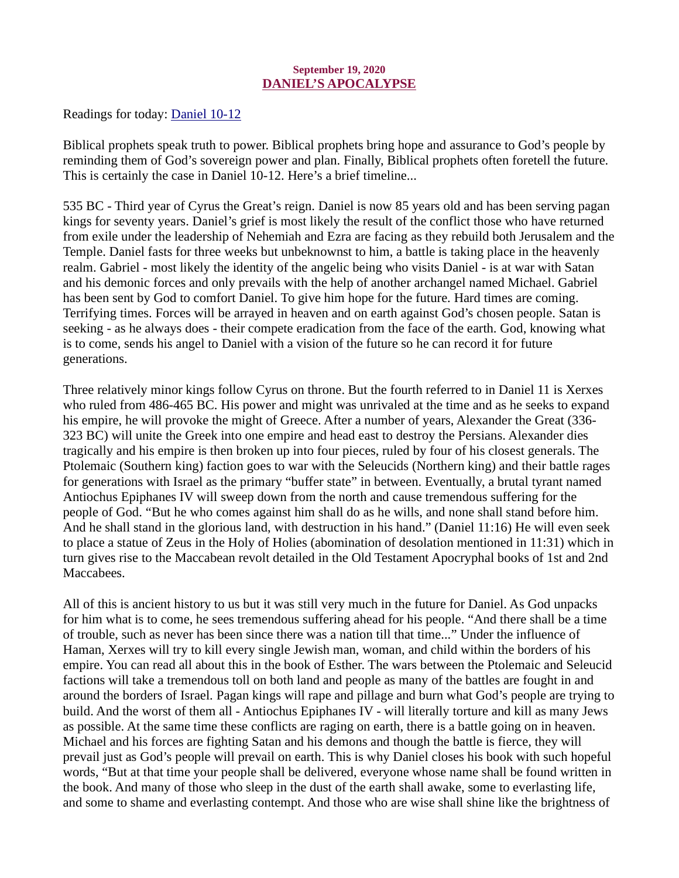#### September 19, 2020 DANIEL'S APOCALYPSE

<span id="page-30-0"></span>[Readings for today: Daniel 10-12](https://www.biblegateway.com/passage/?search=Daniel+10-12&version=ESV)

Biblical prophets speak truth to power. Biblical prophets bring hope and assurance to God's people by reminding them of God's sovereign power and plan. Finally, Biblical prophets often foretell the future. This is certainly the case in Daniel 10-12. Here's a brief timeline...

535 BC - Third year of Cyrus the Great's reign. Daniel is now 85 years old and has been serving pagan kings for seventy years. Daniel's grief is most likely the result of the conflict those who have returned from exile under the leadership of Nehemiah and Ezra are facing as they rebuild both Jerusalem and the Temple. Daniel fasts for three weeks but unbeknownst to him, a battle is taking place in the heavenly realm. Gabriel - most likely the identity of the angelic being who visits Daniel - is at war with Satan and his demonic forces and only prevails with the help of another archangel named Michael. Gabriel has been sent by God to comfort Daniel. To give him hope for the future. Hard times are coming. Terrifying times. Forces will be arrayed in heaven and on earth against God's chosen people. Satan is seeking - as he always does - their compete eradication from the face of the earth. God, knowing what is to come, sends his angel to Daniel with a vision of the future so he can record it for future generations.

Three relatively minor kings follow Cyrus on throne. But the fourth referred to in Daniel 11 is Xerxes who ruled from 486-465 BC. His power and might was unrivaled at the time and as he seeks to expand his empire, he will provoke the might of Greece. After a number of years, Alexander the Great (336- 323 BC) will unite the Greek into one empire and head east to destroy the Persians. Alexander dies tragically and his empire is then broken up into four pieces, ruled by four of his closest generals. The Ptolemaic (Southern king) faction goes to war with the Seleucids (Northern king) and their battle rages for generations with Israel as the primary "buffer state" in between. Eventually, a brutal tyrant named Antiochus Epiphanes IV will sweep down from the north and cause tremendous suffering for the people of God. "But he who comes against him shall do as he wills, and none shall stand before him. And he shall stand in the glorious land, with destruction in his hand." (Daniel 11:16) He will even seek to place a statue of Zeus in the Holy of Holies (abomination of desolation mentioned in 11:31) which in turn gives rise to the Maccabean revolt detailed in the Old Testament Apocryphal books of 1st and 2nd Maccabees.

All of this is ancient history to us but it was still very much in the future for Daniel. As God unpacks for him what is to come, he sees tremendous suffering ahead for his people. "And there shall be a time of trouble, such as never has been since there was a nation till that time..." Under the influence of Haman, Xerxes will try to kill every single Jewish man, woman, and child within the borders of his empire. You can read all about this in the book of Esther. The wars between the Ptolemaic and Seleucid factions will take a tremendous toll on both land and people as many of the battles are fought in and around the borders of Israel. Pagan kings will rape and pillage and burn what God's people are trying to build. And the worst of them all - Antiochus Epiphanes IV - will literally torture and kill as many Jews as possible. At the same time these conflicts are raging on earth, there is a battle going on in heaven. Michael and his forces are fighting Satan and his demons and though the battle is fierce, they will prevail just as God's people will prevail on earth. This is why Daniel closes his book with such hopeful words, "But at that time your people shall be delivered, everyone whose name shall be found written in the book. And many of those who sleep in the dust of the earth shall awake, some to everlasting life, and some to shame and everlasting contempt. And those who are wise shall shine like the brightness of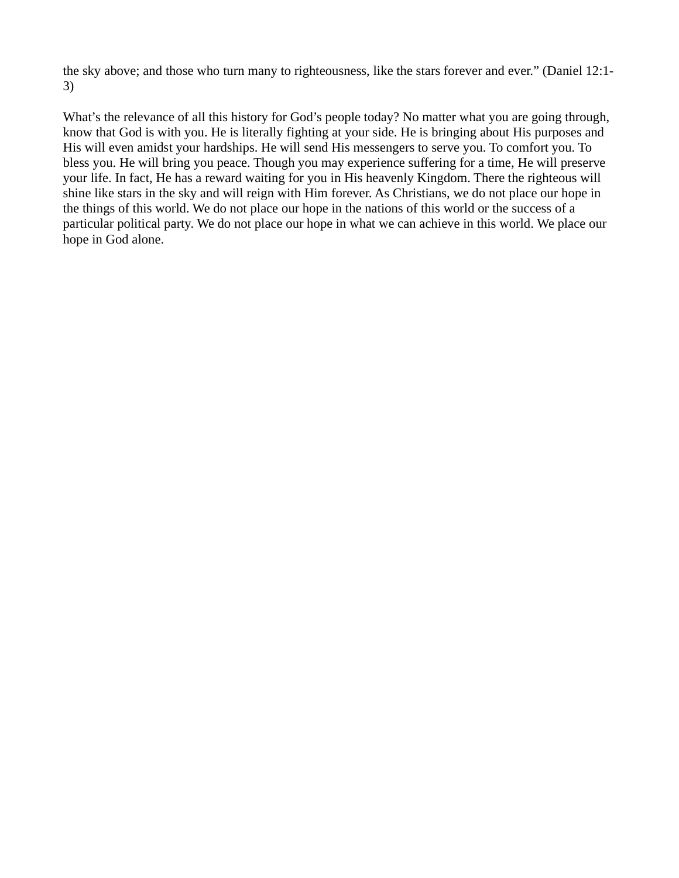the sky above; and those who turn many to righteousness, like the stars forever and ever." (Daniel 12:1- 3)

What's the relevance of all this history for God's people today? No matter what you are going through, know that God is with you. He is literally fighting at your side. He is bringing about His purposes and His will even amidst your hardships. He will send His messengers to serve you. To comfort you. To bless you. He will bring you peace. Though you may experience suffering for a time, He will preserve your life. In fact, He has a reward waiting for you in His heavenly Kingdom. There the righteous will shine like stars in the sky and will reign with Him forever. As Christians, we do not place our hope in the things of this world. We do not place our hope in the nations of this world or the success of a particular political party. We do not place our hope in what we can achieve in this world. We place our hope in God alone.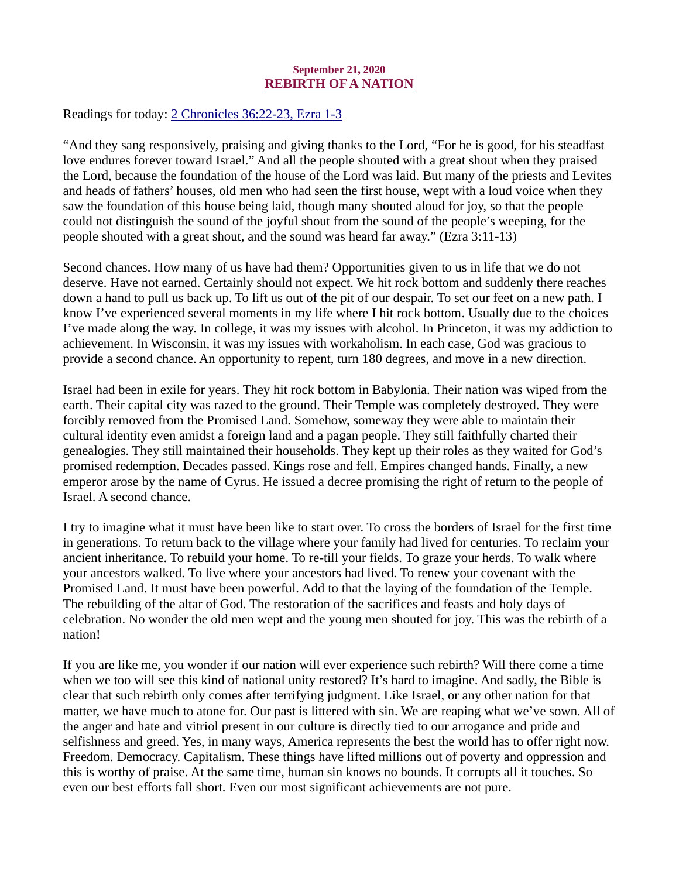## September 21, 2020 REBIRTH OF A NATION

<span id="page-32-0"></span>[Readings for today: 2 Chronicles 36:22-23, Ezra 1-3](https://www.biblegateway.com/passage/?search=2+Chronicles+36%3A22-23%2C+Ezra+1-3&version=ESV)

"And they sang responsively, praising and giving thanks to the Lord, "For he is good, for his steadfast love endures forever toward Israel." And all the people shouted with a great shout when they praised the Lord, because the foundation of the house of the Lord was laid. But many of the priests and Levites and heads of fathers' houses, old men who had seen the first house, wept with a loud voice when they saw the foundation of this house being laid, though many shouted aloud for joy, so that the people could not distinguish the sound of the joyful shout from the sound of the people's weeping, for the people shouted with a great shout, and the sound was heard far away." (Ezra 3:11-13)

Second chances. How many of us have had them? Opportunities given to us in life that we do not deserve. Have not earned. Certainly should not expect. We hit rock bottom and suddenly there reaches down a hand to pull us back up. To lift us out of the pit of our despair. To set our feet on a new path. I know I've experienced several moments in my life where I hit rock bottom. Usually due to the choices I've made along the way. In college, it was my issues with alcohol. In Princeton, it was my addiction to achievement. In Wisconsin, it was my issues with workaholism. In each case, God was gracious to provide a second chance. An opportunity to repent, turn 180 degrees, and move in a new direction.

Israel had been in exile for years. They hit rock bottom in Babylonia. Their nation was wiped from the earth. Their capital city was razed to the ground. Their Temple was completely destroyed. They were forcibly removed from the Promised Land. Somehow, someway they were able to maintain their cultural identity even amidst a foreign land and a pagan people. They still faithfully charted their genealogies. They still maintained their households. They kept up their roles as they waited for God's promised redemption. Decades passed. Kings rose and fell. Empires changed hands. Finally, a new emperor arose by the name of Cyrus. He issued a decree promising the right of return to the people of Israel. A second chance.

I try to imagine what it must have been like to start over. To cross the borders of Israel for the first time in generations. To return back to the village where your family had lived for centuries. To reclaim your ancient inheritance. To rebuild your home. To re-till your fields. To graze your herds. To walk where your ancestors walked. To live where your ancestors had lived. To renew your covenant with the Promised Land. It must have been powerful. Add to that the laying of the foundation of the Temple. The rebuilding of the altar of God. The restoration of the sacrifices and feasts and holy days of celebration. No wonder the old men wept and the young men shouted for joy. This was the rebirth of a nation!

If you are like me, you wonder if our nation will ever experience such rebirth? Will there come a time when we too will see this kind of national unity restored? It's hard to imagine. And sadly, the Bible is clear that such rebirth only comes after terrifying judgment. Like Israel, or any other nation for that matter, we have much to atone for. Our past is littered with sin. We are reaping what we've sown. All of the anger and hate and vitriol present in our culture is directly tied to our arrogance and pride and selfishness and greed. Yes, in many ways, America represents the best the world has to offer right now. Freedom. Democracy. Capitalism. These things have lifted millions out of poverty and oppression and this is worthy of praise. At the same time, human sin knows no bounds. It corrupts all it touches. So even our best efforts fall short. Even our most significant achievements are not pure.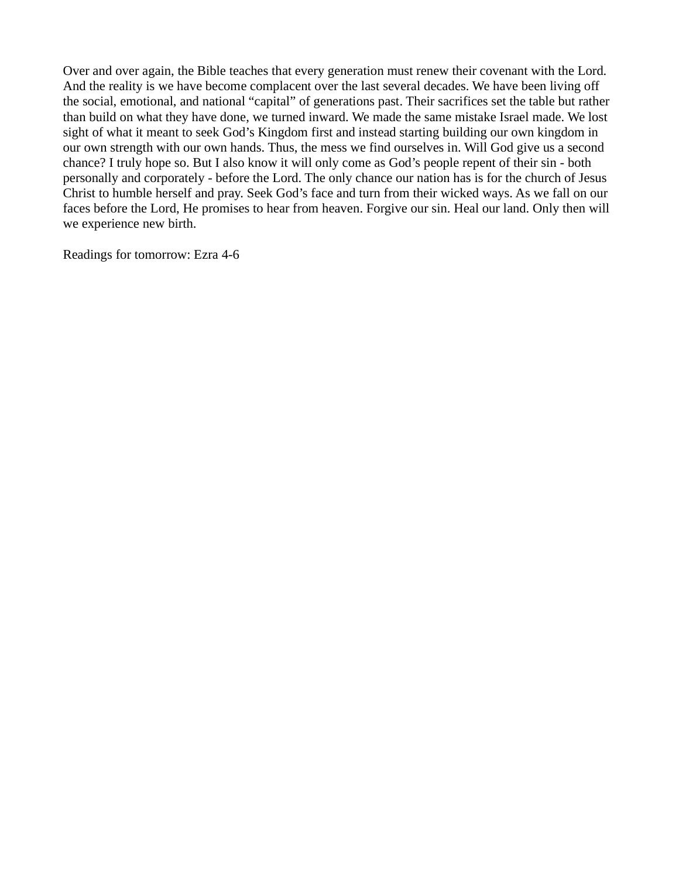Over and over again, the Bible teaches that every generation must renew their covenant with the Lord. And the reality is we have become complacent over the last several decades. We have been living off the social, emotional, and national "capital" of generations past. Their sacrifices set the table but rather than build on what they have done, we turned inward. We made the same mistake Israel made. We lost sight of what it meant to seek God's Kingdom first and instead starting building our own kingdom in our own strength with our own hands. Thus, the mess we find ourselves in. Will God give us a second chance? I truly hope so. But I also know it will only come as God's people repent of their sin - both personally and corporately - before the Lord. The only chance our nation has is for the church of Jesus Christ to humble herself and pray. Seek God's face and turn from their wicked ways. As we fall on our faces before the Lord, He promises to hear from heaven. Forgive our sin. Heal our land. Only then will we experience new birth.

Readings for tomorrow: Ezra 4-6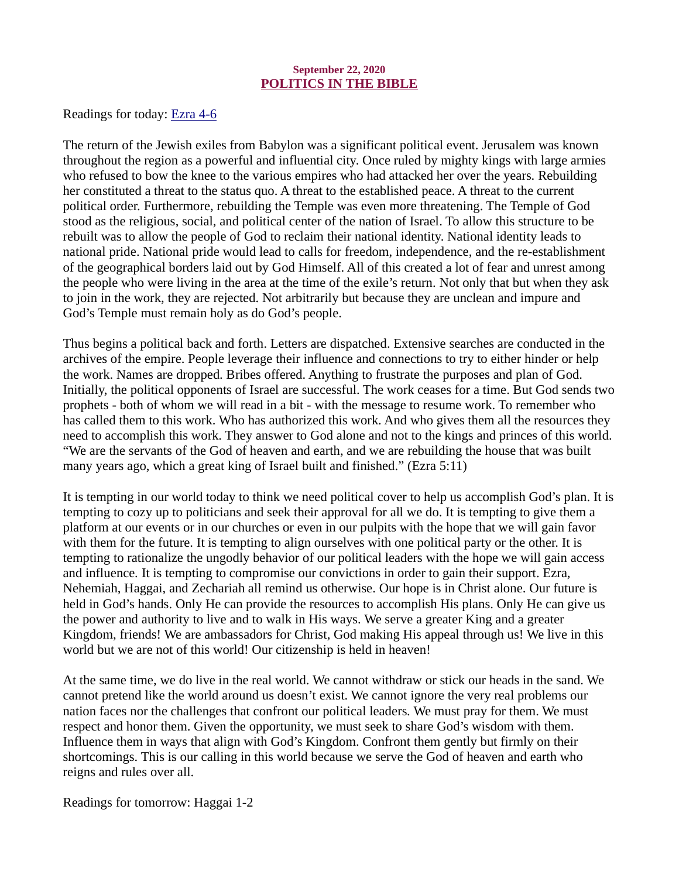## September 22, 2020 POLITICS IN THE BIBLE

<span id="page-34-0"></span>[Readings for today: Ezra 4-6](https://www.biblegateway.com/passage/?search=Ezra+4-6&version=ESV)

The return of the Jewish exiles from Babylon was a significant political event. Jerusalem was known throughout the region as a powerful and influential city. Once ruled by mighty kings with large armies who refused to bow the knee to the various empires who had attacked her over the years. Rebuilding her constituted a threat to the status quo. A threat to the established peace. A threat to the current political order. Furthermore, rebuilding the Temple was even more threatening. The Temple of God stood as the religious, social, and political center of the nation of Israel. To allow this structure to be rebuilt was to allow the people of God to reclaim their national identity. National identity leads to national pride. National pride would lead to calls for freedom, independence, and the re-establishment of the geographical borders laid out by God Himself. All of this created a lot of fear and unrest among the people who were living in the area at the time of the exile's return. Not only that but when they ask to join in the work, they are rejected. Not arbitrarily but because they are unclean and impure and God's Temple must remain holy as do God's people.

Thus begins a political back and forth. Letters are dispatched. Extensive searches are conducted in the archives of the empire. People leverage their influence and connections to try to either hinder or help the work. Names are dropped. Bribes offered. Anything to frustrate the purposes and plan of God. Initially, the political opponents of Israel are successful. The work ceases for a time. But God sends two prophets - both of whom we will read in a bit - with the message to resume work. To remember who has called them to this work. Who has authorized this work. And who gives them all the resources they need to accomplish this work. They answer to God alone and not to the kings and princes of this world. "We are the servants of the God of heaven and earth, and we are rebuilding the house that was built many years ago, which a great king of Israel built and finished." (Ezra 5:11)

It is tempting in our world today to think we need political cover to help us accomplish God's plan. It is tempting to cozy up to politicians and seek their approval for all we do. It is tempting to give them a platform at our events or in our churches or even in our pulpits with the hope that we will gain favor with them for the future. It is tempting to align ourselves with one political party or the other. It is tempting to rationalize the ungodly behavior of our political leaders with the hope we will gain access and influence. It is tempting to compromise our convictions in order to gain their support. Ezra, Nehemiah, Haggai, and Zechariah all remind us otherwise. Our hope is in Christ alone. Our future is held in God's hands. Only He can provide the resources to accomplish His plans. Only He can give us the power and authority to live and to walk in His ways. We serve a greater King and a greater Kingdom, friends! We are ambassadors for Christ, God making His appeal through us! We live in this world but we are not of this world! Our citizenship is held in heaven!

At the same time, we do live in the real world. We cannot withdraw or stick our heads in the sand. We cannot pretend like the world around us doesn't exist. We cannot ignore the very real problems our nation faces nor the challenges that confront our political leaders. We must pray for them. We must respect and honor them. Given the opportunity, we must seek to share God's wisdom with them. Influence them in ways that align with God's Kingdom. Confront them gently but firmly on their shortcomings. This is our calling in this world because we serve the God of heaven and earth who reigns and rules over all.

Readings for tomorrow: Haggai 1-2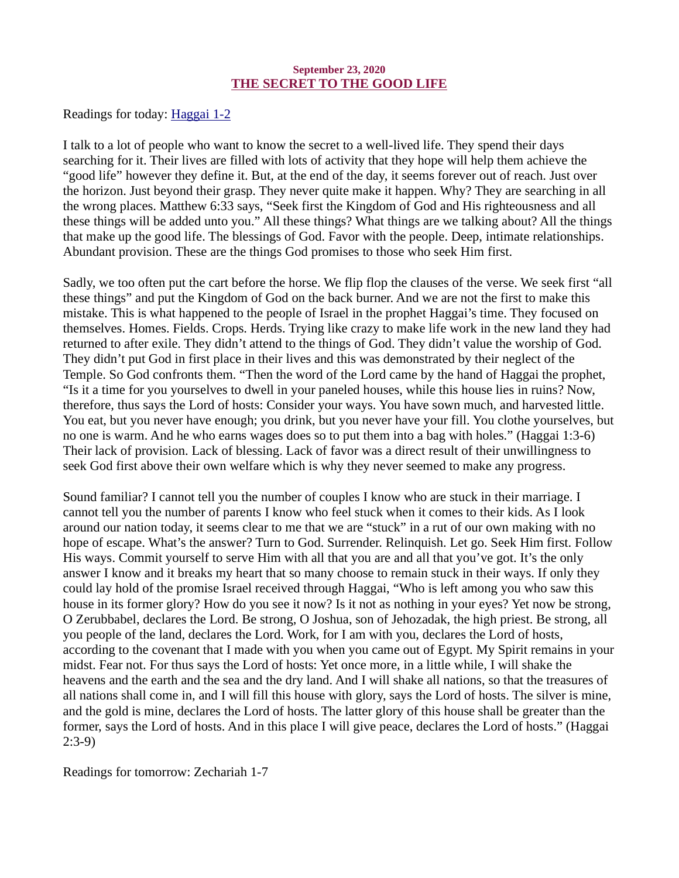#### September 23, 2020 THE SECRET TO THE GOOD LIFE

<span id="page-35-0"></span>[Readings for today: Haggai 1-2](https://www.biblegateway.com/passage/?search=Haggai+1-2&version=ESV)

I talk to a lot of people who want to know the secret to a well-lived life. They spend their days searching for it. Their lives are filled with lots of activity that they hope will help them achieve the "good life" however they define it. But, at the end of the day, it seems forever out of reach. Just over the horizon. Just beyond their grasp. They never quite make it happen. Why? They are searching in all the wrong places. Matthew 6:33 says, "Seek first the Kingdom of God and His righteousness and all these things will be added unto you." All these things? What things are we talking about? All the things that make up the good life. The blessings of God. Favor with the people. Deep, intimate relationships. Abundant provision. These are the things God promises to those who seek Him first.

Sadly, we too often put the cart before the horse. We flip flop the clauses of the verse. We seek first "all these things" and put the Kingdom of God on the back burner. And we are not the first to make this mistake. This is what happened to the people of Israel in the prophet Haggai's time. They focused on themselves. Homes. Fields. Crops. Herds. Trying like crazy to make life work in the new land they had returned to after exile. They didn't attend to the things of God. They didn't value the worship of God. They didn't put God in first place in their lives and this was demonstrated by their neglect of the Temple. So God confronts them. "Then the word of the Lord came by the hand of Haggai the prophet, "Is it a time for you yourselves to dwell in your paneled houses, while this house lies in ruins? Now, therefore, thus says the Lord of hosts: Consider your ways. You have sown much, and harvested little. You eat, but you never have enough; you drink, but you never have your fill. You clothe yourselves, but no one is warm. And he who earns wages does so to put them into a bag with holes." (Haggai 1:3-6) Their lack of provision. Lack of blessing. Lack of favor was a direct result of their unwillingness to seek God first above their own welfare which is why they never seemed to make any progress.

Sound familiar? I cannot tell you the number of couples I know who are stuck in their marriage. I cannot tell you the number of parents I know who feel stuck when it comes to their kids. As I look around our nation today, it seems clear to me that we are "stuck" in a rut of our own making with no hope of escape. What's the answer? Turn to God. Surrender. Relinquish. Let go. Seek Him first. Follow His ways. Commit yourself to serve Him with all that you are and all that you've got. It's the only answer I know and it breaks my heart that so many choose to remain stuck in their ways. If only they could lay hold of the promise Israel received through Haggai, "Who is left among you who saw this house in its former glory? How do you see it now? Is it not as nothing in your eyes? Yet now be strong, O Zerubbabel, declares the Lord. Be strong, O Joshua, son of Jehozadak, the high priest. Be strong, all you people of the land, declares the Lord. Work, for I am with you, declares the Lord of hosts, according to the covenant that I made with you when you came out of Egypt. My Spirit remains in your midst. Fear not. For thus says the Lord of hosts: Yet once more, in a little while, I will shake the heavens and the earth and the sea and the dry land. And I will shake all nations, so that the treasures of all nations shall come in, and I will fill this house with glory, says the Lord of hosts. The silver is mine, and the gold is mine, declares the Lord of hosts. The latter glory of this house shall be greater than the former, says the Lord of hosts. And in this place I will give peace, declares the Lord of hosts." (Haggai 2:3-9)

Readings for tomorrow: Zechariah 1-7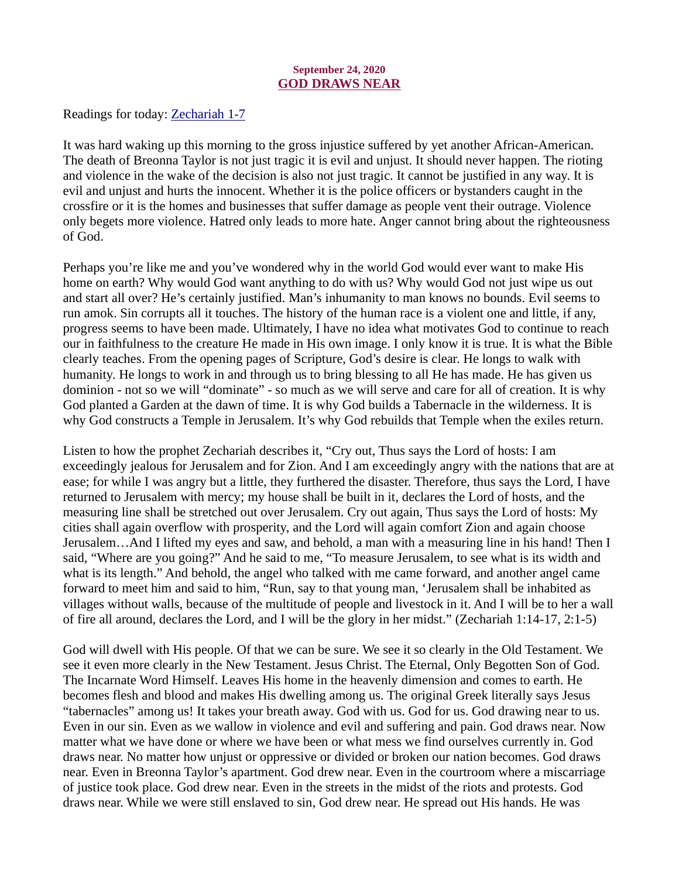## September 24, 2020 GOD DRAWS NEAR

<span id="page-36-0"></span>[Readings for today: Zechariah 1-7](https://www.biblegateway.com/passage/?search=Zechariah+1-7&version=ESV)

It was hard waking up this morning to the gross injustice suffered by yet another African-American. The death of Breonna Taylor is not just tragic it is evil and unjust. It should never happen. The rioting and violence in the wake of the decision is also not just tragic. It cannot be justified in any way. It is evil and unjust and hurts the innocent. Whether it is the police officers or bystanders caught in the crossfire or it is the homes and businesses that suffer damage as people vent their outrage. Violence only begets more violence. Hatred only leads to more hate. Anger cannot bring about the righteousness of God.

Perhaps you're like me and you've wondered why in the world God would ever want to make His home on earth? Why would God want anything to do with us? Why would God not just wipe us out and start all over? He's certainly justified. Man's inhumanity to man knows no bounds. Evil seems to run amok. Sin corrupts all it touches. The history of the human race is a violent one and little, if any, progress seems to have been made. Ultimately, I have no idea what motivates God to continue to reach our in faithfulness to the creature He made in His own image. I only know it is true. It is what the Bible clearly teaches. From the opening pages of Scripture, God's desire is clear. He longs to walk with humanity. He longs to work in and through us to bring blessing to all He has made. He has given us dominion - not so we will "dominate" - so much as we will serve and care for all of creation. It is why God planted a Garden at the dawn of time. It is why God builds a Tabernacle in the wilderness. It is why God constructs a Temple in Jerusalem. It's why God rebuilds that Temple when the exiles return.

Listen to how the prophet Zechariah describes it, "Cry out, Thus says the Lord of hosts: I am exceedingly jealous for Jerusalem and for Zion. And I am exceedingly angry with the nations that are at ease; for while I was angry but a little, they furthered the disaster. Therefore, thus says the Lord, I have returned to Jerusalem with mercy; my house shall be built in it, declares the Lord of hosts, and the measuring line shall be stretched out over Jerusalem. Cry out again, Thus says the Lord of hosts: My cities shall again overflow with prosperity, and the Lord will again comfort Zion and again choose Jerusalem…And I lifted my eyes and saw, and behold, a man with a measuring line in his hand! Then I said, "Where are you going?" And he said to me, "To measure Jerusalem, to see what is its width and what is its length." And behold, the angel who talked with me came forward, and another angel came forward to meet him and said to him, "Run, say to that young man, 'Jerusalem shall be inhabited as villages without walls, because of the multitude of people and livestock in it. And I will be to her a wall of fire all around, declares the Lord, and I will be the glory in her midst." (Zechariah 1:14-17, 2:1-5)

God will dwell with His people. Of that we can be sure. We see it so clearly in the Old Testament. We see it even more clearly in the New Testament. Jesus Christ. The Eternal, Only Begotten Son of God. The Incarnate Word Himself. Leaves His home in the heavenly dimension and comes to earth. He becomes flesh and blood and makes His dwelling among us. The original Greek literally says Jesus "tabernacles" among us! It takes your breath away. God with us. God for us. God drawing near to us. Even in our sin. Even as we wallow in violence and evil and suffering and pain. God draws near. Now matter what we have done or where we have been or what mess we find ourselves currently in. God draws near. No matter how unjust or oppressive or divided or broken our nation becomes. God draws near. Even in Breonna Taylor's apartment. God drew near. Even in the courtroom where a miscarriage of justice took place. God drew near. Even in the streets in the midst of the riots and protests. God draws near. While we were still enslaved to sin, God drew near. He spread out His hands. He was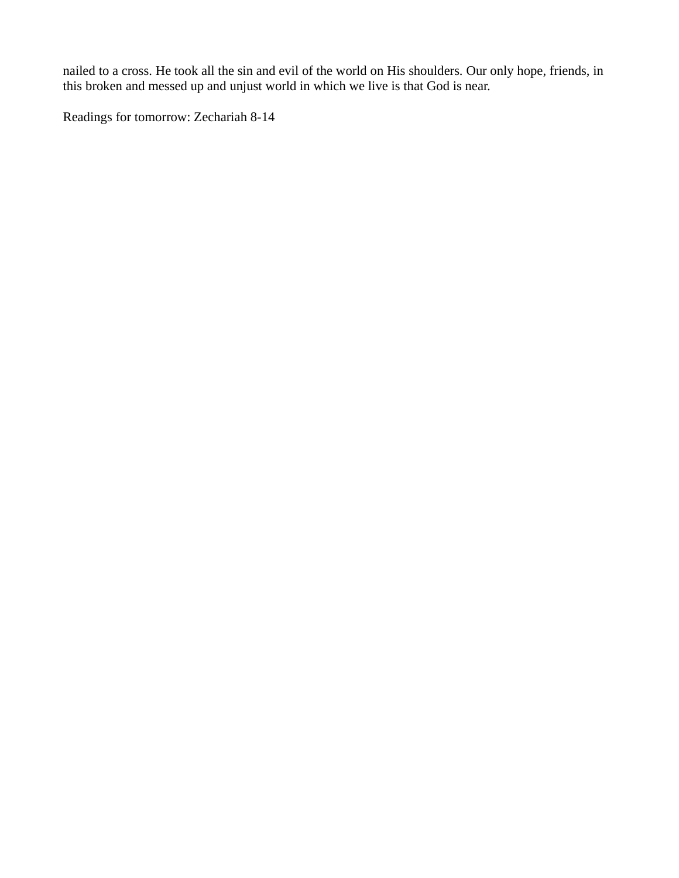nailed to a cross. He took all the sin and evil of the world on His shoulders. Our only hope, friends, in this broken and messed up and unjust world in which we live is that God is near.

Readings for tomorrow: Zechariah 8-14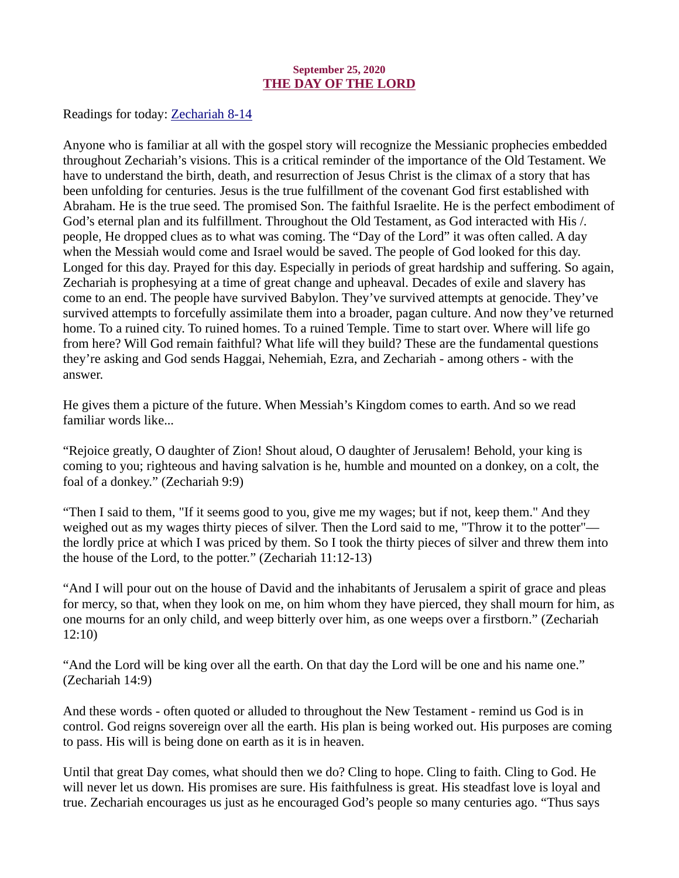## September 25, 2020 THE DAY OF THE LORD

<span id="page-38-0"></span>[Readings for today: Zechariah 8-14](https://www.biblegateway.com/passage/?search=Zechariah+8-14&version=ESV)

Anyone who is familiar at all with the gospel story will recognize the Messianic prophecies embedded throughout Zechariah's visions. This is a critical reminder of the importance of the Old Testament. We have to understand the birth, death, and resurrection of Jesus Christ is the climax of a story that has been unfolding for centuries. Jesus is the true fulfillment of the covenant God first established with Abraham. He is the true seed. The promised Son. The faithful Israelite. He is the perfect embodiment of God's eternal plan and its fulfillment. Throughout the Old Testament, as God interacted with His /. people, He dropped clues as to what was coming. The "Day of the Lord" it was often called. A day when the Messiah would come and Israel would be saved. The people of God looked for this day. Longed for this day. Prayed for this day. Especially in periods of great hardship and suffering. So again, Zechariah is prophesying at a time of great change and upheaval. Decades of exile and slavery has come to an end. The people have survived Babylon. They've survived attempts at genocide. They've survived attempts to forcefully assimilate them into a broader, pagan culture. And now they've returned home. To a ruined city. To ruined homes. To a ruined Temple. Time to start over. Where will life go from here? Will God remain faithful? What life will they build? These are the fundamental questions they're asking and God sends Haggai, Nehemiah, Ezra, and Zechariah - among others - with the answer.

He gives them a picture of the future. When Messiah's Kingdom comes to earth. And so we read familiar words like...

"Rejoice greatly, O daughter of Zion! Shout aloud, O daughter of Jerusalem! Behold, your king is coming to you; righteous and having salvation is he, humble and mounted on a donkey, on a colt, the foal of a donkey." (Zechariah 9:9)

"Then I said to them, "If it seems good to you, give me my wages; but if not, keep them." And they weighed out as my wages thirty pieces of silver. Then the Lord said to me, "Throw it to the potter" the lordly price at which I was priced by them. So I took the thirty pieces of silver and threw them into the house of the Lord, to the potter." (Zechariah 11:12-13)

"And I will pour out on the house of David and the inhabitants of Jerusalem a spirit of grace and pleas for mercy, so that, when they look on me, on him whom they have pierced, they shall mourn for him, as one mourns for an only child, and weep bitterly over him, as one weeps over a firstborn." (Zechariah 12:10)

"And the Lord will be king over all the earth. On that day the Lord will be one and his name one." (Zechariah 14:9)

And these words - often quoted or alluded to throughout the New Testament - remind us God is in control. God reigns sovereign over all the earth. His plan is being worked out. His purposes are coming to pass. His will is being done on earth as it is in heaven.

Until that great Day comes, what should then we do? Cling to hope. Cling to faith. Cling to God. He will never let us down. His promises are sure. His faithfulness is great. His steadfast love is loyal and true. Zechariah encourages us just as he encouraged God's people so many centuries ago. "Thus says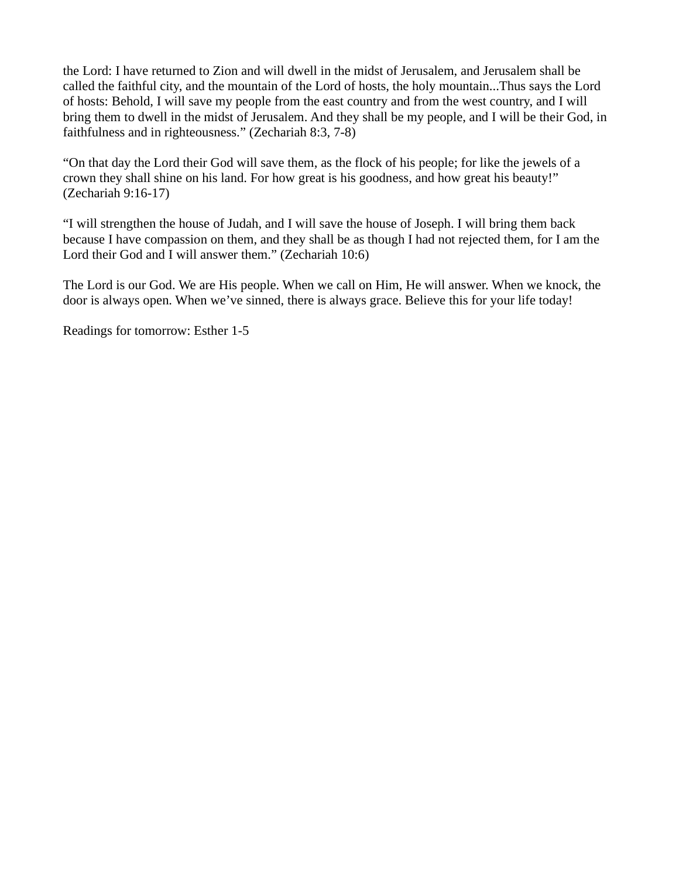the Lord: I have returned to Zion and will dwell in the midst of Jerusalem, and Jerusalem shall be called the faithful city, and the mountain of the Lord of hosts, the holy mountain...Thus says the Lord of hosts: Behold, I will save my people from the east country and from the west country, and I will bring them to dwell in the midst of Jerusalem. And they shall be my people, and I will be their God, in faithfulness and in righteousness." (Zechariah 8:3, 7-8)

"On that day the Lord their God will save them, as the flock of his people; for like the jewels of a crown they shall shine on his land. For how great is his goodness, and how great his beauty!" (Zechariah 9:16-17)

"I will strengthen the house of Judah, and I will save the house of Joseph. I will bring them back because I have compassion on them, and they shall be as though I had not rejected them, for I am the Lord their God and I will answer them." (Zechariah 10:6)

The Lord is our God. We are His people. When we call on Him, He will answer. When we knock, the door is always open. When we've sinned, there is always grace. Believe this for your life today!

Readings for tomorrow: Esther 1-5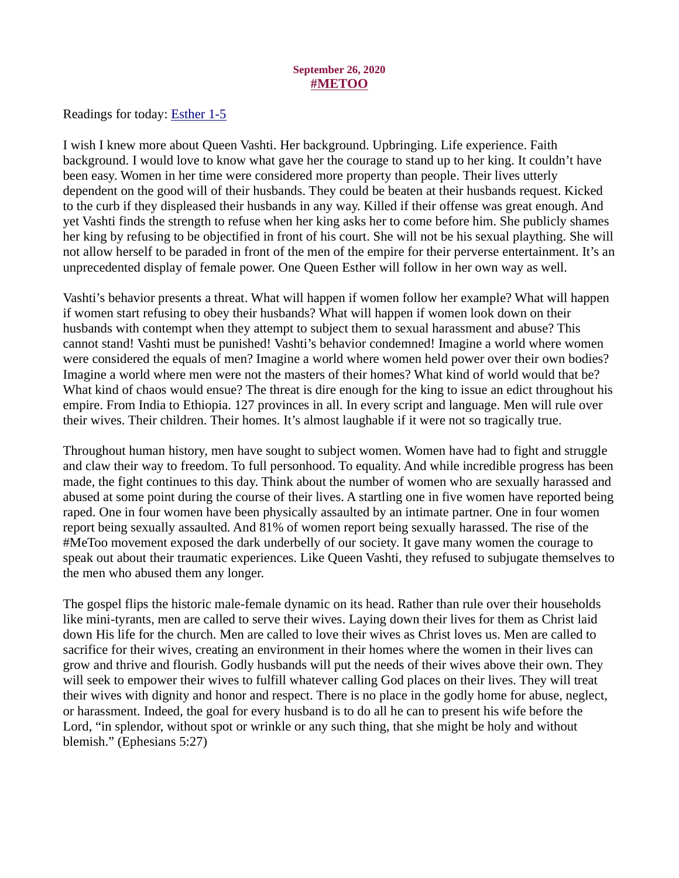#### September 26, 2020 #METOO

<span id="page-40-0"></span>[Readings for today: Esther 1-5](https://www.biblegateway.com/passage/?search=Esther+1-5&version=ESV)

I wish I knew more about Queen Vashti. Her background. Upbringing. Life experience. Faith background. I would love to know what gave her the courage to stand up to her king. It couldn't have been easy. Women in her time were considered more property than people. Their lives utterly dependent on the good will of their husbands. They could be beaten at their husbands request. Kicked to the curb if they displeased their husbands in any way. Killed if their offense was great enough. And yet Vashti finds the strength to refuse when her king asks her to come before him. She publicly shames her king by refusing to be objectified in front of his court. She will not be his sexual plaything. She will not allow herself to be paraded in front of the men of the empire for their perverse entertainment. It's an unprecedented display of female power. One Queen Esther will follow in her own way as well.

Vashti's behavior presents a threat. What will happen if women follow her example? What will happen if women start refusing to obey their husbands? What will happen if women look down on their husbands with contempt when they attempt to subject them to sexual harassment and abuse? This cannot stand! Vashti must be punished! Vashti's behavior condemned! Imagine a world where women were considered the equals of men? Imagine a world where women held power over their own bodies? Imagine a world where men were not the masters of their homes? What kind of world would that be? What kind of chaos would ensue? The threat is dire enough for the king to issue an edict throughout his empire. From India to Ethiopia. 127 provinces in all. In every script and language. Men will rule over their wives. Their children. Their homes. It's almost laughable if it were not so tragically true.

Throughout human history, men have sought to subject women. Women have had to fight and struggle and claw their way to freedom. To full personhood. To equality. And while incredible progress has been made, the fight continues to this day. Think about the number of women who are sexually harassed and abused at some point during the course of their lives. A startling one in five women have reported being raped. One in four women have been physically assaulted by an intimate partner. One in four women report being sexually assaulted. And 81% of women report being sexually harassed. The rise of the #MeToo movement exposed the dark underbelly of our society. It gave many women the courage to speak out about their traumatic experiences. Like Queen Vashti, they refused to subjugate themselves to the men who abused them any longer.

The gospel flips the historic male-female dynamic on its head. Rather than rule over their households like mini-tyrants, men are called to serve their wives. Laying down their lives for them as Christ laid down His life for the church. Men are called to love their wives as Christ loves us. Men are called to sacrifice for their wives, creating an environment in their homes where the women in their lives can grow and thrive and flourish. Godly husbands will put the needs of their wives above their own. They will seek to empower their wives to fulfill whatever calling God places on their lives. They will treat their wives with dignity and honor and respect. There is no place in the godly home for abuse, neglect, or harassment. Indeed, the goal for every husband is to do all he can to present his wife before the Lord, "in splendor, without spot or wrinkle or any such thing, that she might be holy and without blemish." (Ephesians 5:27)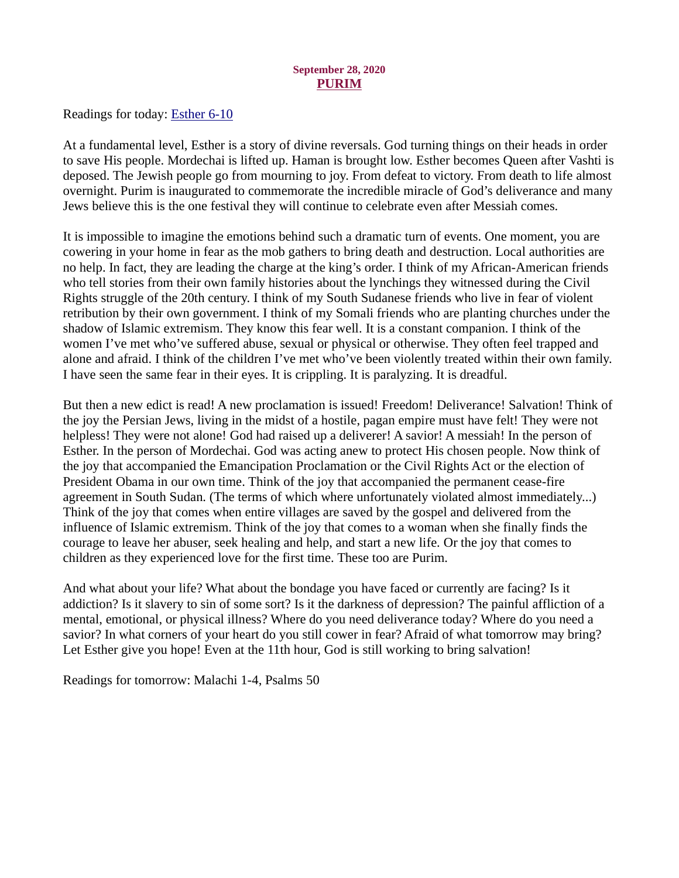# September 28, 2020 PURIM

<span id="page-41-0"></span>[Readings for today: Esther 6-10](https://www.biblegateway.com/passage/?search=Esther+6-10&version=ESV)

At a fundamental level, Esther is a story of divine reversals. God turning things on their heads in order to save His people. Mordechai is lifted up. Haman is brought low. Esther becomes Queen after Vashti is deposed. The Jewish people go from mourning to joy. From defeat to victory. From death to life almost overnight. Purim is inaugurated to commemorate the incredible miracle of God's deliverance and many Jews believe this is the one festival they will continue to celebrate even after Messiah comes.

It is impossible to imagine the emotions behind such a dramatic turn of events. One moment, you are cowering in your home in fear as the mob gathers to bring death and destruction. Local authorities are no help. In fact, they are leading the charge at the king's order. I think of my African-American friends who tell stories from their own family histories about the lynchings they witnessed during the Civil Rights struggle of the 20th century. I think of my South Sudanese friends who live in fear of violent retribution by their own government. I think of my Somali friends who are planting churches under the shadow of Islamic extremism. They know this fear well. It is a constant companion. I think of the women I've met who've suffered abuse, sexual or physical or otherwise. They often feel trapped and alone and afraid. I think of the children I've met who've been violently treated within their own family. I have seen the same fear in their eyes. It is crippling. It is paralyzing. It is dreadful.

But then a new edict is read! A new proclamation is issued! Freedom! Deliverance! Salvation! Think of the joy the Persian Jews, living in the midst of a hostile, pagan empire must have felt! They were not helpless! They were not alone! God had raised up a deliverer! A savior! A messiah! In the person of Esther. In the person of Mordechai. God was acting anew to protect His chosen people. Now think of the joy that accompanied the Emancipation Proclamation or the Civil Rights Act or the election of President Obama in our own time. Think of the joy that accompanied the permanent cease-fire agreement in South Sudan. (The terms of which where unfortunately violated almost immediately...) Think of the joy that comes when entire villages are saved by the gospel and delivered from the influence of Islamic extremism. Think of the joy that comes to a woman when she finally finds the courage to leave her abuser, seek healing and help, and start a new life. Or the joy that comes to children as they experienced love for the first time. These too are Purim.

And what about your life? What about the bondage you have faced or currently are facing? Is it addiction? Is it slavery to sin of some sort? Is it the darkness of depression? The painful affliction of a mental, emotional, or physical illness? Where do you need deliverance today? Where do you need a savior? In what corners of your heart do you still cower in fear? Afraid of what tomorrow may bring? Let Esther give you hope! Even at the 11th hour, God is still working to bring salvation!

Readings for tomorrow: Malachi 1-4, Psalms 50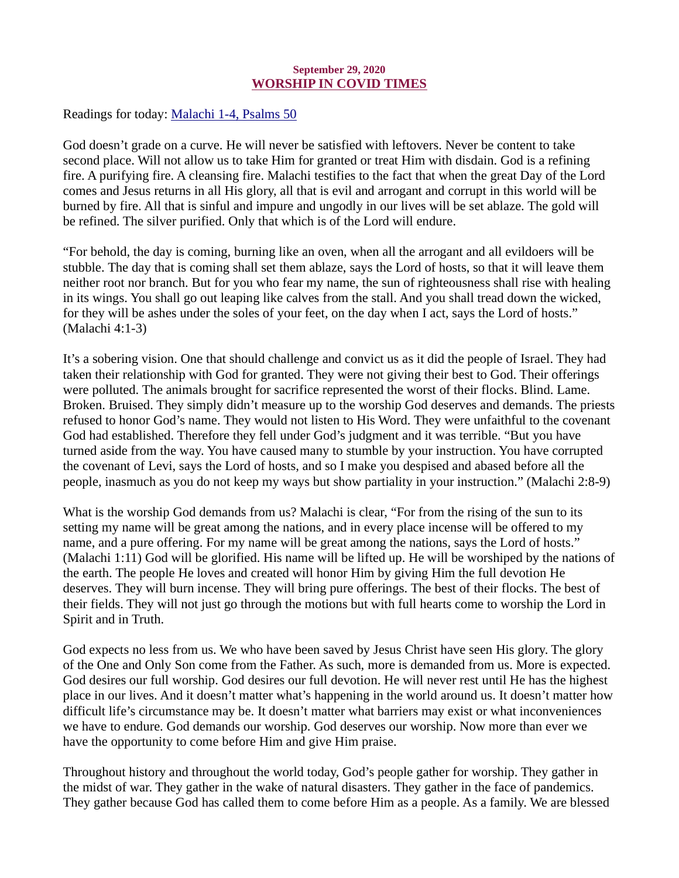## September 29, 2020 WORSHIP IN COVID TIMES

<span id="page-42-0"></span>[Readings for today: Malachi 1-4, Psalms 50](https://www.biblegateway.com/passage/?search=Malachi+1-4%2C+Psalms+50&version=ESV)

God doesn't grade on a curve. He will never be satisfied with leftovers. Never be content to take second place. Will not allow us to take Him for granted or treat Him with disdain. God is a refining fire. A purifying fire. A cleansing fire. Malachi testifies to the fact that when the great Day of the Lord comes and Jesus returns in all His glory, all that is evil and arrogant and corrupt in this world will be burned by fire. All that is sinful and impure and ungodly in our lives will be set ablaze. The gold will be refined. The silver purified. Only that which is of the Lord will endure.

"For behold, the day is coming, burning like an oven, when all the arrogant and all evildoers will be stubble. The day that is coming shall set them ablaze, says the Lord of hosts, so that it will leave them neither root nor branch. But for you who fear my name, the sun of righteousness shall rise with healing in its wings. You shall go out leaping like calves from the stall. And you shall tread down the wicked, for they will be ashes under the soles of your feet, on the day when I act, says the Lord of hosts." (Malachi 4:1-3)

It's a sobering vision. One that should challenge and convict us as it did the people of Israel. They had taken their relationship with God for granted. They were not giving their best to God. Their offerings were polluted. The animals brought for sacrifice represented the worst of their flocks. Blind. Lame. Broken. Bruised. They simply didn't measure up to the worship God deserves and demands. The priests refused to honor God's name. They would not listen to His Word. They were unfaithful to the covenant God had established. Therefore they fell under God's judgment and it was terrible. "But you have turned aside from the way. You have caused many to stumble by your instruction. You have corrupted the covenant of Levi, says the Lord of hosts, and so I make you despised and abased before all the people, inasmuch as you do not keep my ways but show partiality in your instruction." (Malachi 2:8-9)

What is the worship God demands from us? Malachi is clear, "For from the rising of the sun to its setting my name will be great among the nations, and in every place incense will be offered to my name, and a pure offering. For my name will be great among the nations, says the Lord of hosts." (Malachi 1:11) God will be glorified. His name will be lifted up. He will be worshiped by the nations of the earth. The people He loves and created will honor Him by giving Him the full devotion He deserves. They will burn incense. They will bring pure offerings. The best of their flocks. The best of their fields. They will not just go through the motions but with full hearts come to worship the Lord in Spirit and in Truth.

God expects no less from us. We who have been saved by Jesus Christ have seen His glory. The glory of the One and Only Son come from the Father. As such, more is demanded from us. More is expected. God desires our full worship. God desires our full devotion. He will never rest until He has the highest place in our lives. And it doesn't matter what's happening in the world around us. It doesn't matter how difficult life's circumstance may be. It doesn't matter what barriers may exist or what inconveniences we have to endure. God demands our worship. God deserves our worship. Now more than ever we have the opportunity to come before Him and give Him praise.

Throughout history and throughout the world today, God's people gather for worship. They gather in the midst of war. They gather in the wake of natural disasters. They gather in the face of pandemics. They gather because God has called them to come before Him as a people. As a family. We are blessed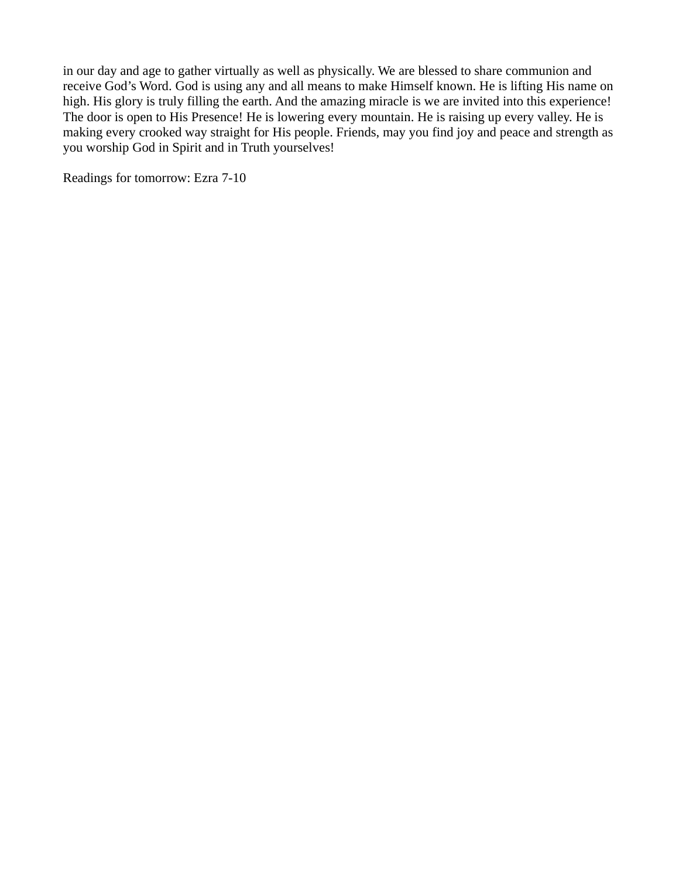in our day and age to gather virtually as well as physically. We are blessed to share communion and receive God's Word. God is using any and all means to make Himself known. He is lifting His name on high. His glory is truly filling the earth. And the amazing miracle is we are invited into this experience! The door is open to His Presence! He is lowering every mountain. He is raising up every valley. He is making every crooked way straight for His people. Friends, may you find joy and peace and strength as you worship God in Spirit and in Truth yourselves!

Readings for tomorrow: Ezra 7-10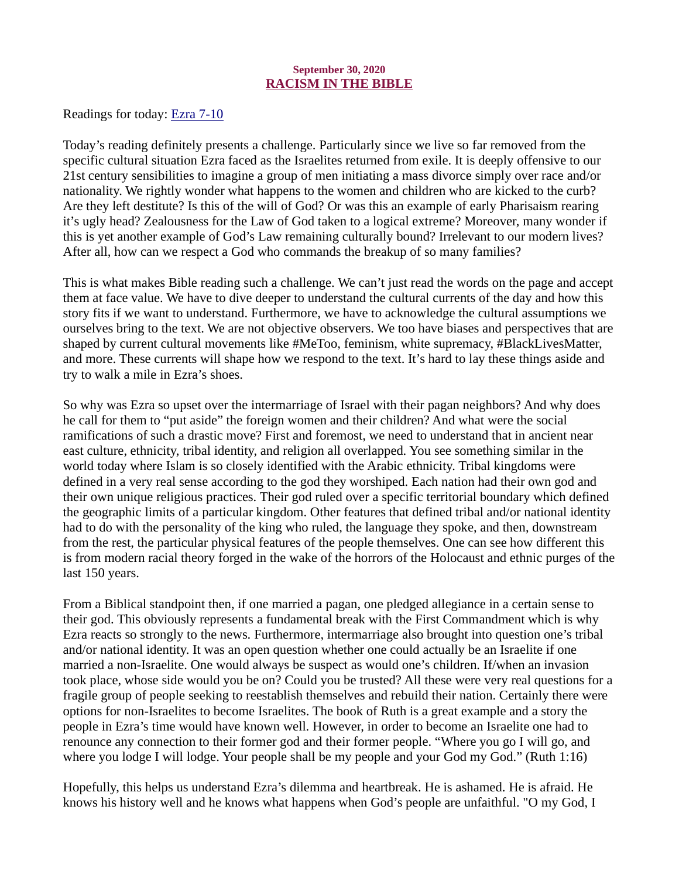#### September 30, 2020 RACISM IN THE BIBLE

<span id="page-44-0"></span>Readings for today: **Ezra 7-10** 

Today's reading definitely presents a challenge. Particularly since we live so far removed from the specific cultural situation Ezra faced as the Israelites returned from exile. It is deeply offensive to our 21st century sensibilities to imagine a group of men initiating a mass divorce simply over race and/or nationality. We rightly wonder what happens to the women and children who are kicked to the curb? Are they left destitute? Is this of the will of God? Or was this an example of early Pharisaism rearing it's ugly head? Zealousness for the Law of God taken to a logical extreme? Moreover, many wonder if this is yet another example of God's Law remaining culturally bound? Irrelevant to our modern lives? After all, how can we respect a God who commands the breakup of so many families?

This is what makes Bible reading such a challenge. We can't just read the words on the page and accept them at face value. We have to dive deeper to understand the cultural currents of the day and how this story fits if we want to understand. Furthermore, we have to acknowledge the cultural assumptions we ourselves bring to the text. We are not objective observers. We too have biases and perspectives that are shaped by current cultural movements like #MeToo, feminism, white supremacy, #BlackLivesMatter, and more. These currents will shape how we respond to the text. It's hard to lay these things aside and try to walk a mile in Ezra's shoes.

So why was Ezra so upset over the intermarriage of Israel with their pagan neighbors? And why does he call for them to "put aside" the foreign women and their children? And what were the social ramifications of such a drastic move? First and foremost, we need to understand that in ancient near east culture, ethnicity, tribal identity, and religion all overlapped. You see something similar in the world today where Islam is so closely identified with the Arabic ethnicity. Tribal kingdoms were defined in a very real sense according to the god they worshiped. Each nation had their own god and their own unique religious practices. Their god ruled over a specific territorial boundary which defined the geographic limits of a particular kingdom. Other features that defined tribal and/or national identity had to do with the personality of the king who ruled, the language they spoke, and then, downstream from the rest, the particular physical features of the people themselves. One can see how different this is from modern racial theory forged in the wake of the horrors of the Holocaust and ethnic purges of the last 150 years.

From a Biblical standpoint then, if one married a pagan, one pledged allegiance in a certain sense to their god. This obviously represents a fundamental break with the First Commandment which is why Ezra reacts so strongly to the news. Furthermore, intermarriage also brought into question one's tribal and/or national identity. It was an open question whether one could actually be an Israelite if one married a non-Israelite. One would always be suspect as would one's children. If/when an invasion took place, whose side would you be on? Could you be trusted? All these were very real questions for a fragile group of people seeking to reestablish themselves and rebuild their nation. Certainly there were options for non-Israelites to become Israelites. The book of Ruth is a great example and a story the people in Ezra's time would have known well. However, in order to become an Israelite one had to renounce any connection to their former god and their former people. "Where you go I will go, and where you lodge I will lodge. Your people shall be my people and your God my God." (Ruth 1:16)

Hopefully, this helps us understand Ezra's dilemma and heartbreak. He is ashamed. He is afraid. He knows his history well and he knows what happens when God's people are unfaithful. "O my God, I